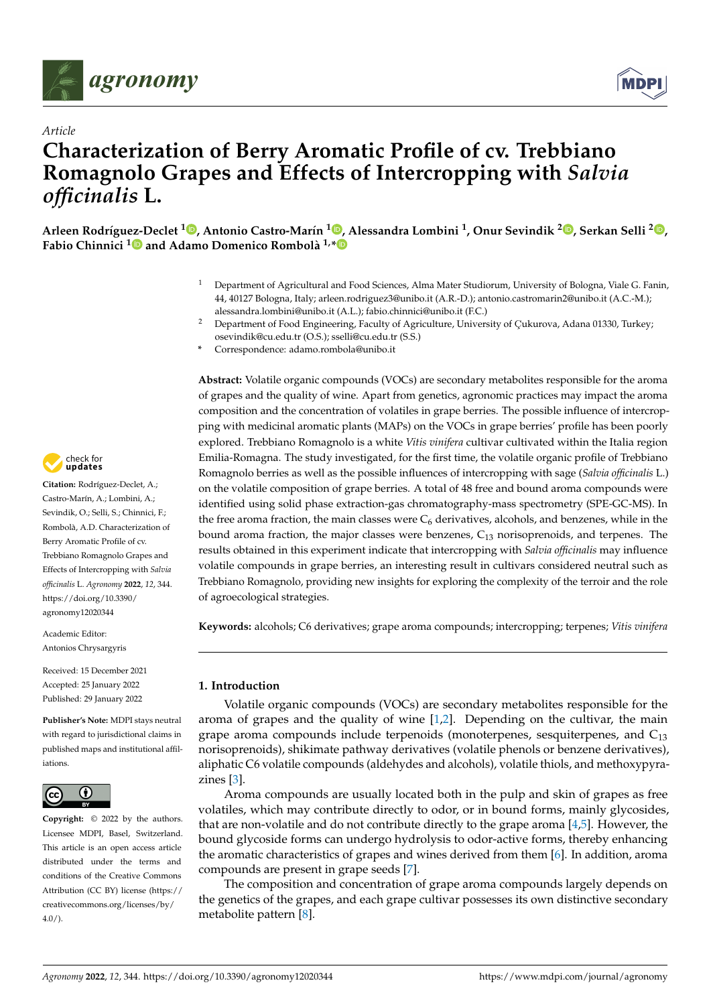



# *Article* **Characterization of Berry Aromatic Profile of cv. Trebbiano Romagnolo Grapes and Effects of Intercropping with** *Salvia officinalis* **L.**

Arleen Rodríguez-Declet <sup>1</sup>. Antonio Castro-Marín <sup>1. D</sup>[,](https://orcid.org/0000-0003-0450-2668) Alessandra Lombini <sup>1</sup>, Onur Sevindik <sup>2. D</sup>, Serkan Selli <sup>2.</sup>D, **Fabio Chinnici [1](https://orcid.org/0000-0003-3874-0680) and Adamo Domenico Rombolà 1,[\\*](https://orcid.org/0000-0001-6232-3655)**

- <sup>1</sup> Department of Agricultural and Food Sciences, Alma Mater Studiorum, University of Bologna, Viale G. Fanin, 44, 40127 Bologna, Italy; arleen.rodriguez3@unibo.it (A.R.-D.); antonio.castromarin2@unibo.it (A.C.-M.); alessandra.lombini@unibo.it (A.L.); fabio.chinnici@unibo.it (F.C.)
- <sup>2</sup> Department of Food Engineering, Faculty of Agriculture, University of Çukurova, Adana 01330, Turkey; osevindik@cu.edu.tr (O.S.); sselli@cu.edu.tr (S.S.)
- **\*** Correspondence: adamo.rombola@unibo.it

**Abstract:** Volatile organic compounds (VOCs) are secondary metabolites responsible for the aroma of grapes and the quality of wine. Apart from genetics, agronomic practices may impact the aroma composition and the concentration of volatiles in grape berries. The possible influence of intercropping with medicinal aromatic plants (MAPs) on the VOCs in grape berries' profile has been poorly explored. Trebbiano Romagnolo is a white *Vitis vinifera* cultivar cultivated within the Italia region Emilia-Romagna. The study investigated, for the first time, the volatile organic profile of Trebbiano Romagnolo berries as well as the possible influences of intercropping with sage (*Salvia officinalis* L.) on the volatile composition of grape berries. A total of 48 free and bound aroma compounds were identified using solid phase extraction-gas chromatography-mass spectrometry (SPE-GC-MS). In the free aroma fraction, the main classes were  $C_6$  derivatives, alcohols, and benzenes, while in the bound aroma fraction, the major classes were benzenes,  $C_{13}$  norisoprenoids, and terpenes. The results obtained in this experiment indicate that intercropping with *Salvia officinalis* may influence volatile compounds in grape berries, an interesting result in cultivars considered neutral such as Trebbiano Romagnolo, providing new insights for exploring the complexity of the terroir and the role of agroecological strategies.

**Keywords:** alcohols; C6 derivatives; grape aroma compounds; intercropping; terpenes; *Vitis vinifera*

# **1. Introduction**

Volatile organic compounds (VOCs) are secondary metabolites responsible for the aroma of grapes and the quality of wine [\[1](#page-12-0)[,2\]](#page-12-1). Depending on the cultivar, the main grape aroma compounds include terpenoids (monoterpenes, sesquiterpenes, and  $C_{13}$ norisoprenoids), shikimate pathway derivatives (volatile phenols or benzene derivatives), aliphatic C6 volatile compounds (aldehydes and alcohols), volatile thiols, and methoxypyrazines [\[3\]](#page-12-2).

Aroma compounds are usually located both in the pulp and skin of grapes as free volatiles, which may contribute directly to odor, or in bound forms, mainly glycosides, that are non-volatile and do not contribute directly to the grape aroma [\[4,](#page-12-3)[5\]](#page-12-4). However, the bound glycoside forms can undergo hydrolysis to odor-active forms, thereby enhancing the aromatic characteristics of grapes and wines derived from them [\[6\]](#page-12-5). In addition, aroma compounds are present in grape seeds [\[7\]](#page-12-6).

The composition and concentration of grape aroma compounds largely depends on the genetics of the grapes, and each grape cultivar possesses its own distinctive secondary metabolite pattern [\[8\]](#page-12-7).



**Citation:** Rodríguez-Declet, A.; Castro-Marín, A.; Lombini, A.; Sevindik, O.; Selli, S.; Chinnici, F.; Rombolà, A.D. Characterization of Berry Aromatic Profile of cv. Trebbiano Romagnolo Grapes and Effects of Intercropping with *Salvia officinalis* L. *Agronomy* **2022**, *12*, 344. [https://doi.org/10.3390/](https://doi.org/10.3390/agronomy12020344) [agronomy12020344](https://doi.org/10.3390/agronomy12020344)

Academic Editor: Antonios Chrysargyris

Received: 15 December 2021 Accepted: 25 January 2022 Published: 29 January 2022

**Publisher's Note:** MDPI stays neutral with regard to jurisdictional claims in published maps and institutional affiliations.



**Copyright:** © 2022 by the authors. Licensee MDPI, Basel, Switzerland. This article is an open access article distributed under the terms and conditions of the Creative Commons Attribution (CC BY) license [\(https://](https://creativecommons.org/licenses/by/4.0/) [creativecommons.org/licenses/by/](https://creativecommons.org/licenses/by/4.0/)  $4.0/$ ).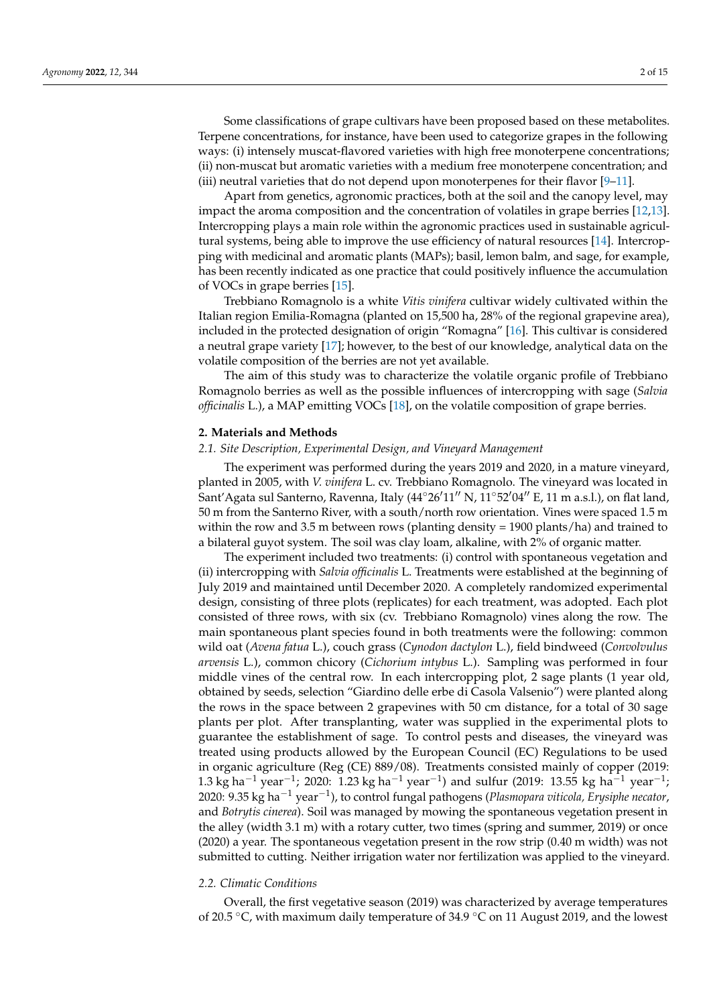Some classifications of grape cultivars have been proposed based on these metabolites. Terpene concentrations, for instance, have been used to categorize grapes in the following ways: (i) intensely muscat-flavored varieties with high free monoterpene concentrations; (ii) non-muscat but aromatic varieties with a medium free monoterpene concentration; and (iii) neutral varieties that do not depend upon monoterpenes for their flavor [\[9–](#page-12-8)[11\]](#page-13-0).

Apart from genetics, agronomic practices, both at the soil and the canopy level, may impact the aroma composition and the concentration of volatiles in grape berries [\[12,](#page-13-1)[13\]](#page-13-2). Intercropping plays a main role within the agronomic practices used in sustainable agricultural systems, being able to improve the use efficiency of natural resources [\[14\]](#page-13-3). Intercropping with medicinal and aromatic plants (MAPs); basil, lemon balm, and sage, for example, has been recently indicated as one practice that could positively influence the accumulation of VOCs in grape berries [\[15\]](#page-13-4).

Trebbiano Romagnolo is a white *Vitis vinifera* cultivar widely cultivated within the Italian region Emilia-Romagna (planted on 15,500 ha, 28% of the regional grapevine area), included in the protected designation of origin "Romagna" [\[16\]](#page-13-5). This cultivar is considered a neutral grape variety [\[17\]](#page-13-6); however, to the best of our knowledge, analytical data on the volatile composition of the berries are not yet available.

The aim of this study was to characterize the volatile organic profile of Trebbiano Romagnolo berries as well as the possible influences of intercropping with sage (*Salvia officinalis* L.), a MAP emitting VOCs [\[18\]](#page-13-7), on the volatile composition of grape berries.

#### **2. Materials and Methods**

# *2.1. Site Description, Experimental Design, and Vineyard Management*

The experiment was performed during the years 2019 and 2020, in a mature vineyard, planted in 2005, with *V. vinifera* L. cv. Trebbiano Romagnolo. The vineyard was located in Sant'Agata sul Santerno, Ravenna, Italy (44°26'11" N, 11°52'04" E, 11 m a.s.l.), on flat land, 50 m from the Santerno River, with a south/north row orientation. Vines were spaced 1.5 m within the row and 3.5 m between rows (planting density = 1900 plants/ha) and trained to a bilateral guyot system. The soil was clay loam, alkaline, with 2% of organic matter.

The experiment included two treatments: (i) control with spontaneous vegetation and (ii) intercropping with *Salvia officinalis* L. Treatments were established at the beginning of July 2019 and maintained until December 2020. A completely randomized experimental design, consisting of three plots (replicates) for each treatment, was adopted. Each plot consisted of three rows, with six (cv. Trebbiano Romagnolo) vines along the row. The main spontaneous plant species found in both treatments were the following: common wild oat (*Avena fatua* L.), couch grass (*Cynodon dactylon* L.), field bindweed (*Convolvulus arvensis* L.), common chicory (*Cichorium intybus* L.). Sampling was performed in four middle vines of the central row. In each intercropping plot, 2 sage plants (1 year old, obtained by seeds, selection "Giardino delle erbe di Casola Valsenio") were planted along the rows in the space between 2 grapevines with 50 cm distance, for a total of 30 sage plants per plot. After transplanting, water was supplied in the experimental plots to guarantee the establishment of sage. To control pests and diseases, the vineyard was treated using products allowed by the European Council (EC) Regulations to be used in organic agriculture (Reg (CE) 889/08). Treatments consisted mainly of copper (2019: 1.3 kg ha<sup>-1</sup> year<sup>-1</sup>; 2020: 1.23 kg ha<sup>-1</sup> year<sup>-1</sup>) and sulfur (2019: 13.55 kg ha<sup>-1</sup> year<sup>-1</sup>; 2020: 9.35 kg ha−<sup>1</sup> year−<sup>1</sup> ), to control fungal pathogens (*Plasmopara viticola, Erysiphe necator*, and *Botrytis cinerea*). Soil was managed by mowing the spontaneous vegetation present in the alley (width 3.1 m) with a rotary cutter, two times (spring and summer, 2019) or once (2020) a year. The spontaneous vegetation present in the row strip (0.40 m width) was not submitted to cutting. Neither irrigation water nor fertilization was applied to the vineyard.

#### *2.2. Climatic Conditions*

Overall, the first vegetative season (2019) was characterized by average temperatures of 20.5 ◦C, with maximum daily temperature of 34.9 ◦C on 11 August 2019, and the lowest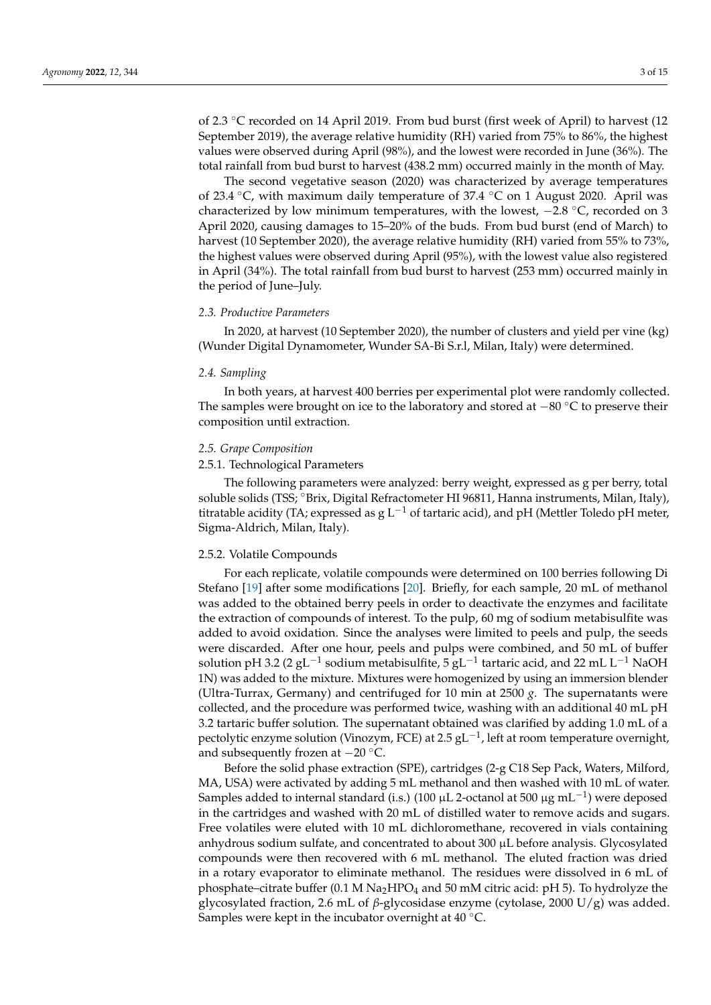of 2.3 ◦C recorded on 14 April 2019. From bud burst (first week of April) to harvest (12 September 2019), the average relative humidity (RH) varied from 75% to 86%, the highest values were observed during April (98%), and the lowest were recorded in June (36%). The total rainfall from bud burst to harvest (438.2 mm) occurred mainly in the month of May.

The second vegetative season (2020) was characterized by average temperatures of 23.4 ◦C, with maximum daily temperature of 37.4 ◦C on 1 August 2020. April was characterized by low minimum temperatures, with the lowest, −2.8 ◦C, recorded on 3 April 2020, causing damages to 15–20% of the buds. From bud burst (end of March) to harvest (10 September 2020), the average relative humidity (RH) varied from 55% to 73%, the highest values were observed during April (95%), with the lowest value also registered in April (34%). The total rainfall from bud burst to harvest (253 mm) occurred mainly in the period of June–July.

#### *2.3. Productive Parameters*

In 2020, at harvest (10 September 2020), the number of clusters and yield per vine (kg) (Wunder Digital Dynamometer, Wunder SA-Bi S.r.l, Milan, Italy) were determined.

#### *2.4. Sampling*

In both years, at harvest 400 berries per experimental plot were randomly collected. The samples were brought on ice to the laboratory and stored at −80 ◦C to preserve their composition until extraction.

## *2.5. Grape Composition*

# 2.5.1. Technological Parameters

The following parameters were analyzed: berry weight, expressed as g per berry, total soluble solids (TSS; <sup>∘</sup>Brix, Digital Refractometer HI 96811, Hanna instruments, Milan, Italy), titratable acidity (TA; expressed as  $g L^{-1}$  of tartaric acid), and pH (Mettler Toledo pH meter, Sigma-Aldrich, Milan, Italy).

# 2.5.2. Volatile Compounds

For each replicate, volatile compounds were determined on 100 berries following Di Stefano [\[19\]](#page-13-8) after some modifications [\[20\]](#page-13-9). Briefly, for each sample, 20 mL of methanol was added to the obtained berry peels in order to deactivate the enzymes and facilitate the extraction of compounds of interest. To the pulp, 60 mg of sodium metabisulfite was added to avoid oxidation. Since the analyses were limited to peels and pulp, the seeds were discarded. After one hour, peels and pulps were combined, and 50 mL of buffer solution pH 3.2 (2 gL $^{-1}$  sodium metabisulfite, 5 gL $^{-1}$  tartaric acid, and 22 mL L $^{-1}$  NaOH 1N) was added to the mixture. Mixtures were homogenized by using an immersion blender (Ultra-Turrax, Germany) and centrifuged for 10 min at 2500 *g*. The supernatants were collected, and the procedure was performed twice, washing with an additional 40 mL pH 3.2 tartaric buffer solution. The supernatant obtained was clarified by adding 1.0 mL of a pectolytic enzyme solution (Vinozym, FCE) at 2.5 gL<sup>-1</sup>, left at room temperature overnight, and subsequently frozen at  $-20$  °C.

Before the solid phase extraction (SPE), cartridges (2-g C18 Sep Pack, Waters, Milford, MA, USA) were activated by adding 5 mL methanol and then washed with 10 mL of water. Samples added to internal standard (i.s.) (100 µL 2-octanol at 500 µg mL $^{-1}$ ) were deposed in the cartridges and washed with 20 mL of distilled water to remove acids and sugars. Free volatiles were eluted with 10 mL dichloromethane, recovered in vials containing anhydrous sodium sulfate, and concentrated to about 300 µL before analysis. Glycosylated compounds were then recovered with 6 mL methanol. The eluted fraction was dried in a rotary evaporator to eliminate methanol. The residues were dissolved in 6 mL of phosphate–citrate buffer (0.1 M Na<sub>2</sub>HPO<sub>4</sub> and 50 mM citric acid: pH 5). To hydrolyze the glycosylated fraction, 2.6 mL of *β*-glycosidase enzyme (cytolase, 2000 U/g) was added. Samples were kept in the incubator overnight at 40 ◦C.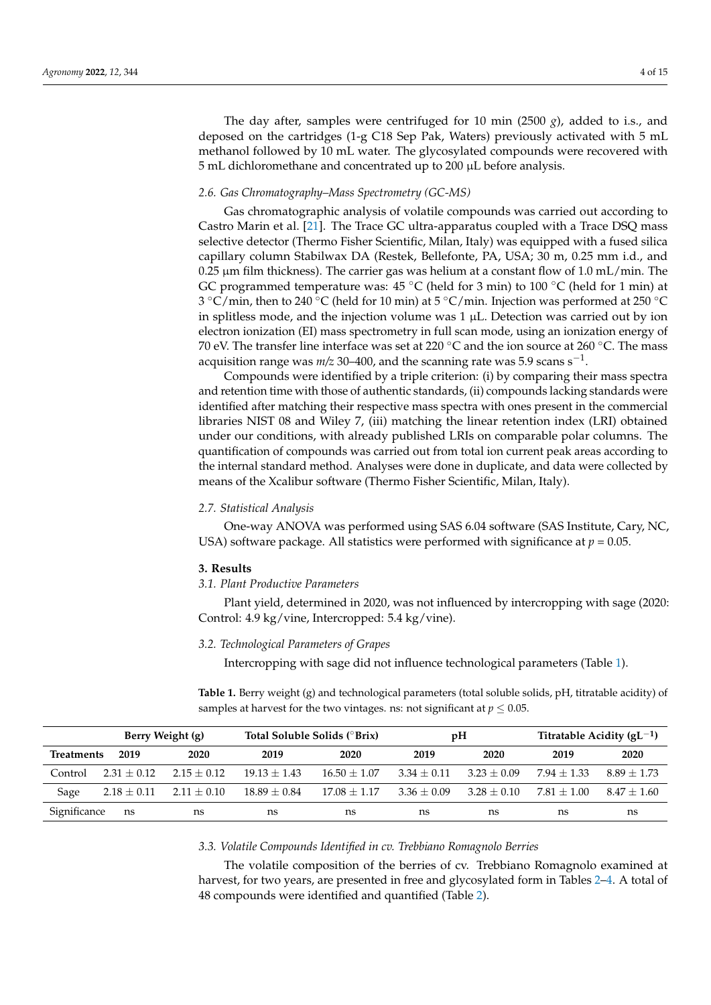The day after, samples were centrifuged for 10 min (2500 *g*), added to i.s., and deposed on the cartridges (1-g C18 Sep Pak, Waters) previously activated with 5 mL methanol followed by 10 mL water. The glycosylated compounds were recovered with 5 mL dichloromethane and concentrated up to 200 µL before analysis.

#### *2.6. Gas Chromatography–Mass Spectrometry (GC-MS)*

Gas chromatographic analysis of volatile compounds was carried out according to Castro Marin et al. [\[21\]](#page-13-10). The Trace GC ultra-apparatus coupled with a Trace DSQ mass selective detector (Thermo Fisher Scientific, Milan, Italy) was equipped with a fused silica capillary column Stabilwax DA (Restek, Bellefonte, PA, USA; 30 m, 0.25 mm i.d., and  $0.25 \,\mu m$  film thickness). The carrier gas was helium at a constant flow of 1.0 mL/min. The GC programmed temperature was:  $45 \degree C$  (held for 3 min) to 100  $\degree C$  (held for 1 min) at 3 °C/min, then to 240 °C (held for 10 min) at 5 °C/min. Injection was performed at 250 °C in splitless mode, and the injection volume was  $1 \mu L$ . Detection was carried out by ion electron ionization (EI) mass spectrometry in full scan mode, using an ionization energy of 70 eV. The transfer line interface was set at 220 °C and the ion source at 260 °C. The mass acquisition range was *m/z* 30–400, and the scanning rate was 5.9 scans  $\mathrm{s}^{-1}.$ 

Compounds were identified by a triple criterion: (i) by comparing their mass spectra and retention time with those of authentic standards, (ii) compounds lacking standards were identified after matching their respective mass spectra with ones present in the commercial libraries NIST 08 and Wiley 7, (iii) matching the linear retention index (LRI) obtained under our conditions, with already published LRIs on comparable polar columns. The quantification of compounds was carried out from total ion current peak areas according to the internal standard method. Analyses were done in duplicate, and data were collected by means of the Xcalibur software (Thermo Fisher Scientific, Milan, Italy).

#### *2.7. Statistical Analysis*

One-way ANOVA was performed using SAS 6.04 software (SAS Institute, Cary, NC, USA) software package. All statistics were performed with significance at *p* = 0.05.

#### **3. Results**

*3.1. Plant Productive Parameters*

Plant yield, determined in 2020, was not influenced by intercropping with sage (2020: Control: 4.9 kg/vine, Intercropped: 5.4 kg/vine).

#### *3.2. Technological Parameters of Grapes*

Intercropping with sage did not influence technological parameters (Table [1\)](#page-3-0).

<span id="page-3-0"></span>**Table 1.** Berry weight (g) and technological parameters (total soluble solids, pH, titratable acidity) of samples at harvest for the two vintages. ns: not significant at  $p \leq 0.05$ .

|                   |                 | Berry Weight (g) |                  | Total Soluble Solids (°Brix) |               | pH            | Titratable Acidity ( $gL^{-1}$ ) |               |  |
|-------------------|-----------------|------------------|------------------|------------------------------|---------------|---------------|----------------------------------|---------------|--|
| <b>Treatments</b> | 2019            | 2020             | 2019             | 2020                         | 2019          | 2020          | 2019                             | 2020          |  |
| Control           | $2.31 + 0.12$   | $2.15 + 0.12$    | $19.13 + 1.43$   | $16.50 + 1.07$               | $3.34 + 0.11$ | $3.23 + 0.09$ | $7.94 + 1.33$                    | $8.89 + 1.73$ |  |
| Sage              | $2.18 \pm 0.11$ | $2.11 \pm 0.10$  | $18.89 \pm 0.84$ | $17.08 + 1.17$               | $3.36 + 0.09$ | $3.28 + 0.10$ | $7.81 + 1.00$                    | $8.47 + 1.60$ |  |
| Significance      | ns              | ns               | ns               | ns                           | ns            | ns            | ns                               | ns            |  |

#### *3.3. Volatile Compounds Identified in cv. Trebbiano Romagnolo Berries*

The volatile composition of the berries of cv. Trebbiano Romagnolo examined at harvest, for two years, are presented in free and glycosylated form in Tables [2–](#page-5-0)[4.](#page-9-0) A total of 48 compounds were identified and quantified (Table [2\)](#page-5-0).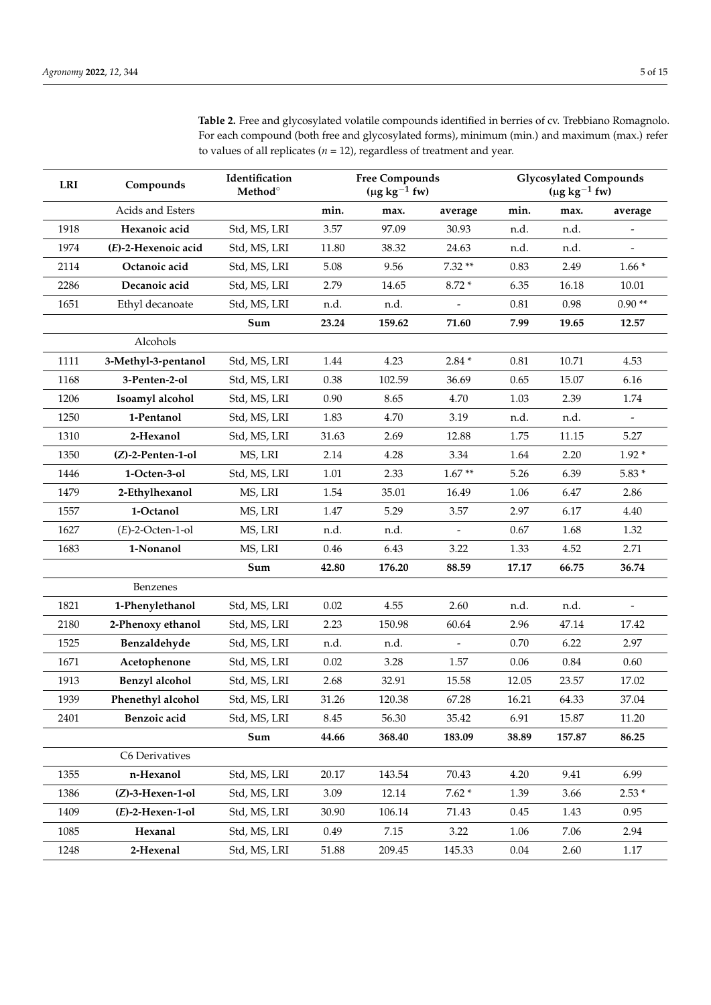**Table 2.** Free and glycosylated volatile compounds identified in berries of cv. Trebbiano Romagnolo. For each compound (both free and glycosylated forms), minimum (min.) and maximum (max.) refer to values of all replicates ( $n = 12$ ), regardless of treatment and year.

| LRI  | Compounds             | Identification<br>Method <sup>o</sup> |       | <b>Free Compounds</b><br>$(\mu g kg^{-1} f w)$ |                |          | <b>Glycosylated Compounds</b><br>$(\mu g kg^{-1} f w)$ |                |
|------|-----------------------|---------------------------------------|-------|------------------------------------------------|----------------|----------|--------------------------------------------------------|----------------|
|      | Acids and Esters      |                                       | min.  | max.                                           | average        | min.     | max.                                                   | average        |
| 1918 | Hexanoic acid         | Std, MS, LRI                          | 3.57  | 97.09                                          | 30.93          | n.d.     | n.d.                                                   | $\overline{a}$ |
| 1974 | (E)-2-Hexenoic acid   | Std, MS, LRI                          | 11.80 | 38.32                                          | 24.63          | n.d.     | n.d.                                                   |                |
| 2114 | Octanoic acid         | Std, MS, LRI                          | 5.08  | 9.56                                           | $7.32**$       | 0.83     | 2.49                                                   | $1.66*$        |
| 2286 | Decanoic acid         | Std, MS, LRI                          | 2.79  | 14.65                                          | $8.72*$        | 6.35     | 16.18                                                  | 10.01          |
| 1651 | Ethyl decanoate       | Std, MS, LRI                          | n.d.  | n.d.                                           |                | $0.81\,$ | 0.98                                                   | $0.90**$       |
|      |                       | Sum                                   | 23.24 | 159.62                                         | 71.60          | 7.99     | 19.65                                                  | 12.57          |
|      | Alcohols              |                                       |       |                                                |                |          |                                                        |                |
| 1111 | 3-Methyl-3-pentanol   | Std, MS, LRI                          | 1.44  | 4.23                                           | $2.84*$        | $0.81\,$ | 10.71                                                  | 4.53           |
| 1168 | 3-Penten-2-ol         | Std, MS, LRI                          | 0.38  | 102.59                                         | 36.69          | 0.65     | 15.07                                                  | 6.16           |
| 1206 | Isoamyl alcohol       | Std, MS, LRI                          | 0.90  | 8.65                                           | 4.70           | 1.03     | 2.39                                                   | 1.74           |
| 1250 | 1-Pentanol            | Std, MS, LRI                          | 1.83  | 4.70                                           | 3.19           | n.d.     | n.d.                                                   |                |
| 1310 | 2-Hexanol             | Std, MS, LRI                          | 31.63 | 2.69                                           | 12.88          | 1.75     | 11.15                                                  | 5.27           |
| 1350 | $(Z)$ -2-Penten-1-ol  | MS, LRI                               | 2.14  | 4.28                                           | 3.34           | 1.64     | 2.20                                                   | $1.92*$        |
| 1446 | 1-Octen-3-ol          | Std, MS, LRI                          | 1.01  | 2.33                                           | $1.67**$       | 5.26     | 6.39                                                   | $5.83*$        |
| 1479 | 2-Ethylhexanol        | MS, LRI                               | 1.54  | 35.01                                          | 16.49          | 1.06     | 6.47                                                   | 2.86           |
| 1557 | 1-Octanol             | MS, LRI                               | 1.47  | 5.29                                           | 3.57           | 2.97     | 6.17                                                   | 4.40           |
| 1627 | $(E)$ -2-Octen-1-ol   | MS, LRI                               | n.d.  | n.d.                                           | $\blacksquare$ | 0.67     | 1.68                                                   | 1.32           |
| 1683 | 1-Nonanol             | MS, LRI                               | 0.46  | 6.43                                           | 3.22           | 1.33     | 4.52                                                   | 2.71           |
|      |                       | Sum                                   | 42.80 | 176.20                                         | 88.59          | 17.17    | 66.75                                                  | 36.74          |
|      | Benzenes              |                                       |       |                                                |                |          |                                                        |                |
| 1821 | 1-Phenylethanol       | Std, MS, LRI                          | 0.02  | 4.55                                           | 2.60           | n.d.     | n.d.                                                   |                |
| 2180 | 2-Phenoxy ethanol     | Std, MS, LRI                          | 2.23  | 150.98                                         | 60.64          | 2.96     | 47.14                                                  | 17.42          |
| 1525 | Benzaldehyde          | Std, MS, LRI                          | n.d.  | n.d.                                           |                | 0.70     | 6.22                                                   | 2.97           |
| 1671 | Acetophenone          | Std, MS, LRI                          | 0.02  | 3.28                                           | 1.57           | $0.06\,$ | 0.84                                                   | 0.60           |
| 1913 | <b>Benzyl</b> alcohol | Std, MS, LRI                          | 2.68  | 32.91                                          | 15.58          | 12.05    | 23.57                                                  | 17.02          |
| 1939 | Phenethyl alcohol     | Std, MS, LRI                          | 31.26 | 120.38                                         | 67.28          | 16.21    | 64.33                                                  | 37.04          |
| 2401 | Benzoic acid          | Std, MS, LRI                          | 8.45  | 56.30                                          | 35.42          | 6.91     | 15.87                                                  | 11.20          |
|      |                       | Sum                                   | 44.66 | 368.40                                         | 183.09         | 38.89    | 157.87                                                 | 86.25          |
|      | C6 Derivatives        |                                       |       |                                                |                |          |                                                        |                |
| 1355 | n-Hexanol             | Std, MS, LRI                          | 20.17 | 143.54                                         | 70.43          | 4.20     | 9.41                                                   | 6.99           |
| 1386 | $(Z)$ -3-Hexen-1-ol   | Std, MS, LRI                          | 3.09  | 12.14                                          | $7.62*$        | 1.39     | 3.66                                                   | $2.53*$        |
| 1409 | $(E)$ -2-Hexen-1-ol   | Std, MS, LRI                          | 30.90 | 106.14                                         | 71.43          | 0.45     | 1.43                                                   | 0.95           |
| 1085 | Hexanal               | Std, MS, LRI                          | 0.49  | 7.15                                           | 3.22           | 1.06     | 7.06                                                   | 2.94           |
| 1248 | 2-Hexenal             | Std, MS, LRI                          | 51.88 | 209.45                                         | 145.33         | 0.04     | 2.60                                                   | 1.17           |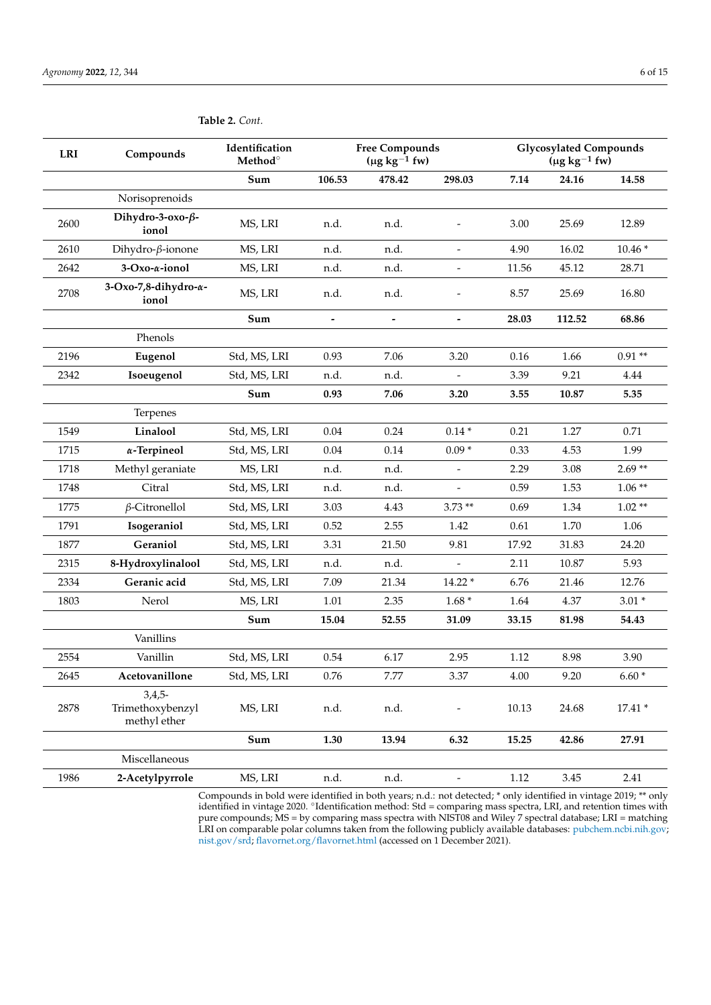| Sum<br>106.53<br>478.42<br>298.03<br>7.14<br>24.16<br>14.58<br>Norisoprenoids<br>Dihydro-3-oxo-ß-<br>MS, LRI<br>2600<br>n.d.<br>n.d.<br>3.00<br>25.69<br>12.89<br>ionol<br>16.02<br>$10.46*$<br>2610<br>Dihydro- $\beta$ -ionone<br>MS, LRI<br>n.d.<br>4.90<br>n.d.<br>3-Oxo-a-ionol<br>MS, LRI<br>n.d.<br>45.12<br>28.71<br>2642<br>n.d.<br>11.56<br>$\qquad \qquad \blacksquare$<br>3-Oxo-7,8-dihydro-a-<br>2708<br>MS, LRI<br>n.d.<br>n.d.<br>8.57<br>25.69<br>16.80<br>ionol<br>Sum<br>28.03<br>112.52<br>68.86<br>$\overline{\phantom{a}}$<br>$\overline{\phantom{a}}$<br>$\qquad \qquad \blacksquare$<br>Phenols<br>7.06<br>$0.91**$<br>2196<br>Std, MS, LRI<br>0.93<br>3.20<br>0.16<br>1.66<br>Eugenol<br>Isoeugenol<br>Std, MS, LRI<br>2342<br>n.d.<br>3.39<br>9.21<br>4.44<br>n.d.<br>7.06<br>Sum<br>0.93<br>3.20<br>3.55<br>10.87<br>5.35<br>Terpenes<br>1549<br>Linalool<br>Std, MS, LRI<br>0.04<br>0.24<br>$0.14*$<br>0.21<br>1.27<br>0.71<br>$\alpha$ -Terpineol<br>$0.14\,$<br>1715<br>Std, MS, LRI<br>0.04<br>$0.09*$<br>0.33<br>4.53<br>1.99<br>$2.69**$<br>1718<br>MS, LRI<br>n.d.<br>2.29<br>3.08<br>Methyl geraniate<br>n.d.<br>$\overline{a}$<br>Std, MS, LRI<br>0.59<br>$1.06**$<br>1748<br>Citral<br>n.d.<br>n.d.<br>1.53<br>$\beta$ -Citronellol<br>$3.73**$<br>$1.02**$<br>1775<br>Std, MS, LRI<br>3.03<br>4.43<br>0.69<br>1.34<br>1791<br>Isogeraniol<br>Std, MS, LRI<br>2.55<br>0.61<br>1.70<br>0.52<br>1.42<br>1.06<br>Geraniol<br>21.50<br>9.81<br>1877<br>Std, MS, LRI<br>3.31<br>17.92<br>31.83<br>24.20<br>2315<br>8-Hydroxylinalool<br>Std, MS, LRI<br>n.d.<br>2.11<br>10.87<br>5.93<br>n.d.<br>$\overline{\phantom{a}}$<br>2334<br>Geranic acid<br>Std, MS, LRI<br>7.09<br>21.34<br>$14.22*$<br>6.76<br>21.46<br>12.76<br>1803<br>1.01<br>2.35<br>$1.68*$<br>4.37<br>$3.01*$<br>Nerol<br>MS, LRI<br>1.64<br>$\operatorname{\mathsf{Sum}}$<br>15.04<br>52.55<br>31.09<br>33.15<br>81.98<br>54.43<br>Vanillins<br>2554<br>Vanillin<br>Std, MS, LRI<br>0.54<br>6.17<br>2.95<br>1.12<br>8.98<br>3.90<br>2645<br>Acetovanillone<br>Std, MS, LRI<br>0.76<br>7.77<br>3.37<br>4.00<br>9.20<br>$6.60*$<br>$3,4,5-$<br>Trimethoxybenzyl<br>n.d.<br>24.68<br>$17.41*$<br>2878<br>MS, LRI<br>n.d.<br>10.13<br>methyl ether<br>Sum<br>13.94<br>6.32<br>27.91<br>1.30<br>15.25<br>42.86 | <b>LRI</b> | Compounds | Identification<br>Method <sup>o</sup> | <b>Free Compounds</b><br>(µg $kg^{-1}$ fw) |  | <b>Glycosylated Compounds</b><br>$(\mu g kg^{-1} f w)$ |  |
|------------------------------------------------------------------------------------------------------------------------------------------------------------------------------------------------------------------------------------------------------------------------------------------------------------------------------------------------------------------------------------------------------------------------------------------------------------------------------------------------------------------------------------------------------------------------------------------------------------------------------------------------------------------------------------------------------------------------------------------------------------------------------------------------------------------------------------------------------------------------------------------------------------------------------------------------------------------------------------------------------------------------------------------------------------------------------------------------------------------------------------------------------------------------------------------------------------------------------------------------------------------------------------------------------------------------------------------------------------------------------------------------------------------------------------------------------------------------------------------------------------------------------------------------------------------------------------------------------------------------------------------------------------------------------------------------------------------------------------------------------------------------------------------------------------------------------------------------------------------------------------------------------------------------------------------------------------------------------------------------------------------------------------------------------------------------------------------------------------------------------------------------------------------------------------------------------------------------------------------------------------------------------------------------------------|------------|-----------|---------------------------------------|--------------------------------------------|--|--------------------------------------------------------|--|
|                                                                                                                                                                                                                                                                                                                                                                                                                                                                                                                                                                                                                                                                                                                                                                                                                                                                                                                                                                                                                                                                                                                                                                                                                                                                                                                                                                                                                                                                                                                                                                                                                                                                                                                                                                                                                                                                                                                                                                                                                                                                                                                                                                                                                                                                                                            |            |           |                                       |                                            |  |                                                        |  |
|                                                                                                                                                                                                                                                                                                                                                                                                                                                                                                                                                                                                                                                                                                                                                                                                                                                                                                                                                                                                                                                                                                                                                                                                                                                                                                                                                                                                                                                                                                                                                                                                                                                                                                                                                                                                                                                                                                                                                                                                                                                                                                                                                                                                                                                                                                            |            |           |                                       |                                            |  |                                                        |  |
|                                                                                                                                                                                                                                                                                                                                                                                                                                                                                                                                                                                                                                                                                                                                                                                                                                                                                                                                                                                                                                                                                                                                                                                                                                                                                                                                                                                                                                                                                                                                                                                                                                                                                                                                                                                                                                                                                                                                                                                                                                                                                                                                                                                                                                                                                                            |            |           |                                       |                                            |  |                                                        |  |
|                                                                                                                                                                                                                                                                                                                                                                                                                                                                                                                                                                                                                                                                                                                                                                                                                                                                                                                                                                                                                                                                                                                                                                                                                                                                                                                                                                                                                                                                                                                                                                                                                                                                                                                                                                                                                                                                                                                                                                                                                                                                                                                                                                                                                                                                                                            |            |           |                                       |                                            |  |                                                        |  |
|                                                                                                                                                                                                                                                                                                                                                                                                                                                                                                                                                                                                                                                                                                                                                                                                                                                                                                                                                                                                                                                                                                                                                                                                                                                                                                                                                                                                                                                                                                                                                                                                                                                                                                                                                                                                                                                                                                                                                                                                                                                                                                                                                                                                                                                                                                            |            |           |                                       |                                            |  |                                                        |  |
|                                                                                                                                                                                                                                                                                                                                                                                                                                                                                                                                                                                                                                                                                                                                                                                                                                                                                                                                                                                                                                                                                                                                                                                                                                                                                                                                                                                                                                                                                                                                                                                                                                                                                                                                                                                                                                                                                                                                                                                                                                                                                                                                                                                                                                                                                                            |            |           |                                       |                                            |  |                                                        |  |
|                                                                                                                                                                                                                                                                                                                                                                                                                                                                                                                                                                                                                                                                                                                                                                                                                                                                                                                                                                                                                                                                                                                                                                                                                                                                                                                                                                                                                                                                                                                                                                                                                                                                                                                                                                                                                                                                                                                                                                                                                                                                                                                                                                                                                                                                                                            |            |           |                                       |                                            |  |                                                        |  |
|                                                                                                                                                                                                                                                                                                                                                                                                                                                                                                                                                                                                                                                                                                                                                                                                                                                                                                                                                                                                                                                                                                                                                                                                                                                                                                                                                                                                                                                                                                                                                                                                                                                                                                                                                                                                                                                                                                                                                                                                                                                                                                                                                                                                                                                                                                            |            |           |                                       |                                            |  |                                                        |  |
|                                                                                                                                                                                                                                                                                                                                                                                                                                                                                                                                                                                                                                                                                                                                                                                                                                                                                                                                                                                                                                                                                                                                                                                                                                                                                                                                                                                                                                                                                                                                                                                                                                                                                                                                                                                                                                                                                                                                                                                                                                                                                                                                                                                                                                                                                                            |            |           |                                       |                                            |  |                                                        |  |
|                                                                                                                                                                                                                                                                                                                                                                                                                                                                                                                                                                                                                                                                                                                                                                                                                                                                                                                                                                                                                                                                                                                                                                                                                                                                                                                                                                                                                                                                                                                                                                                                                                                                                                                                                                                                                                                                                                                                                                                                                                                                                                                                                                                                                                                                                                            |            |           |                                       |                                            |  |                                                        |  |
|                                                                                                                                                                                                                                                                                                                                                                                                                                                                                                                                                                                                                                                                                                                                                                                                                                                                                                                                                                                                                                                                                                                                                                                                                                                                                                                                                                                                                                                                                                                                                                                                                                                                                                                                                                                                                                                                                                                                                                                                                                                                                                                                                                                                                                                                                                            |            |           |                                       |                                            |  |                                                        |  |
|                                                                                                                                                                                                                                                                                                                                                                                                                                                                                                                                                                                                                                                                                                                                                                                                                                                                                                                                                                                                                                                                                                                                                                                                                                                                                                                                                                                                                                                                                                                                                                                                                                                                                                                                                                                                                                                                                                                                                                                                                                                                                                                                                                                                                                                                                                            |            |           |                                       |                                            |  |                                                        |  |
|                                                                                                                                                                                                                                                                                                                                                                                                                                                                                                                                                                                                                                                                                                                                                                                                                                                                                                                                                                                                                                                                                                                                                                                                                                                                                                                                                                                                                                                                                                                                                                                                                                                                                                                                                                                                                                                                                                                                                                                                                                                                                                                                                                                                                                                                                                            |            |           |                                       |                                            |  |                                                        |  |
|                                                                                                                                                                                                                                                                                                                                                                                                                                                                                                                                                                                                                                                                                                                                                                                                                                                                                                                                                                                                                                                                                                                                                                                                                                                                                                                                                                                                                                                                                                                                                                                                                                                                                                                                                                                                                                                                                                                                                                                                                                                                                                                                                                                                                                                                                                            |            |           |                                       |                                            |  |                                                        |  |
|                                                                                                                                                                                                                                                                                                                                                                                                                                                                                                                                                                                                                                                                                                                                                                                                                                                                                                                                                                                                                                                                                                                                                                                                                                                                                                                                                                                                                                                                                                                                                                                                                                                                                                                                                                                                                                                                                                                                                                                                                                                                                                                                                                                                                                                                                                            |            |           |                                       |                                            |  |                                                        |  |
|                                                                                                                                                                                                                                                                                                                                                                                                                                                                                                                                                                                                                                                                                                                                                                                                                                                                                                                                                                                                                                                                                                                                                                                                                                                                                                                                                                                                                                                                                                                                                                                                                                                                                                                                                                                                                                                                                                                                                                                                                                                                                                                                                                                                                                                                                                            |            |           |                                       |                                            |  |                                                        |  |
|                                                                                                                                                                                                                                                                                                                                                                                                                                                                                                                                                                                                                                                                                                                                                                                                                                                                                                                                                                                                                                                                                                                                                                                                                                                                                                                                                                                                                                                                                                                                                                                                                                                                                                                                                                                                                                                                                                                                                                                                                                                                                                                                                                                                                                                                                                            |            |           |                                       |                                            |  |                                                        |  |
|                                                                                                                                                                                                                                                                                                                                                                                                                                                                                                                                                                                                                                                                                                                                                                                                                                                                                                                                                                                                                                                                                                                                                                                                                                                                                                                                                                                                                                                                                                                                                                                                                                                                                                                                                                                                                                                                                                                                                                                                                                                                                                                                                                                                                                                                                                            |            |           |                                       |                                            |  |                                                        |  |
|                                                                                                                                                                                                                                                                                                                                                                                                                                                                                                                                                                                                                                                                                                                                                                                                                                                                                                                                                                                                                                                                                                                                                                                                                                                                                                                                                                                                                                                                                                                                                                                                                                                                                                                                                                                                                                                                                                                                                                                                                                                                                                                                                                                                                                                                                                            |            |           |                                       |                                            |  |                                                        |  |
|                                                                                                                                                                                                                                                                                                                                                                                                                                                                                                                                                                                                                                                                                                                                                                                                                                                                                                                                                                                                                                                                                                                                                                                                                                                                                                                                                                                                                                                                                                                                                                                                                                                                                                                                                                                                                                                                                                                                                                                                                                                                                                                                                                                                                                                                                                            |            |           |                                       |                                            |  |                                                        |  |
|                                                                                                                                                                                                                                                                                                                                                                                                                                                                                                                                                                                                                                                                                                                                                                                                                                                                                                                                                                                                                                                                                                                                                                                                                                                                                                                                                                                                                                                                                                                                                                                                                                                                                                                                                                                                                                                                                                                                                                                                                                                                                                                                                                                                                                                                                                            |            |           |                                       |                                            |  |                                                        |  |
|                                                                                                                                                                                                                                                                                                                                                                                                                                                                                                                                                                                                                                                                                                                                                                                                                                                                                                                                                                                                                                                                                                                                                                                                                                                                                                                                                                                                                                                                                                                                                                                                                                                                                                                                                                                                                                                                                                                                                                                                                                                                                                                                                                                                                                                                                                            |            |           |                                       |                                            |  |                                                        |  |
|                                                                                                                                                                                                                                                                                                                                                                                                                                                                                                                                                                                                                                                                                                                                                                                                                                                                                                                                                                                                                                                                                                                                                                                                                                                                                                                                                                                                                                                                                                                                                                                                                                                                                                                                                                                                                                                                                                                                                                                                                                                                                                                                                                                                                                                                                                            |            |           |                                       |                                            |  |                                                        |  |
|                                                                                                                                                                                                                                                                                                                                                                                                                                                                                                                                                                                                                                                                                                                                                                                                                                                                                                                                                                                                                                                                                                                                                                                                                                                                                                                                                                                                                                                                                                                                                                                                                                                                                                                                                                                                                                                                                                                                                                                                                                                                                                                                                                                                                                                                                                            |            |           |                                       |                                            |  |                                                        |  |
|                                                                                                                                                                                                                                                                                                                                                                                                                                                                                                                                                                                                                                                                                                                                                                                                                                                                                                                                                                                                                                                                                                                                                                                                                                                                                                                                                                                                                                                                                                                                                                                                                                                                                                                                                                                                                                                                                                                                                                                                                                                                                                                                                                                                                                                                                                            |            |           |                                       |                                            |  |                                                        |  |
|                                                                                                                                                                                                                                                                                                                                                                                                                                                                                                                                                                                                                                                                                                                                                                                                                                                                                                                                                                                                                                                                                                                                                                                                                                                                                                                                                                                                                                                                                                                                                                                                                                                                                                                                                                                                                                                                                                                                                                                                                                                                                                                                                                                                                                                                                                            |            |           |                                       |                                            |  |                                                        |  |
|                                                                                                                                                                                                                                                                                                                                                                                                                                                                                                                                                                                                                                                                                                                                                                                                                                                                                                                                                                                                                                                                                                                                                                                                                                                                                                                                                                                                                                                                                                                                                                                                                                                                                                                                                                                                                                                                                                                                                                                                                                                                                                                                                                                                                                                                                                            |            |           |                                       |                                            |  |                                                        |  |
|                                                                                                                                                                                                                                                                                                                                                                                                                                                                                                                                                                                                                                                                                                                                                                                                                                                                                                                                                                                                                                                                                                                                                                                                                                                                                                                                                                                                                                                                                                                                                                                                                                                                                                                                                                                                                                                                                                                                                                                                                                                                                                                                                                                                                                                                                                            |            |           |                                       |                                            |  |                                                        |  |
| Miscellaneous                                                                                                                                                                                                                                                                                                                                                                                                                                                                                                                                                                                                                                                                                                                                                                                                                                                                                                                                                                                                                                                                                                                                                                                                                                                                                                                                                                                                                                                                                                                                                                                                                                                                                                                                                                                                                                                                                                                                                                                                                                                                                                                                                                                                                                                                                              |            |           |                                       |                                            |  |                                                        |  |
| 1986<br>2-Acetylpyrrole<br>MS, LRI<br>n.d.<br>n.d.<br>1.12<br>3.45<br>2.41<br>$\frac{1}{2}$                                                                                                                                                                                                                                                                                                                                                                                                                                                                                                                                                                                                                                                                                                                                                                                                                                                                                                                                                                                                                                                                                                                                                                                                                                                                                                                                                                                                                                                                                                                                                                                                                                                                                                                                                                                                                                                                                                                                                                                                                                                                                                                                                                                                                |            |           |                                       |                                            |  |                                                        |  |

<span id="page-5-0"></span>**Table 2.** *Cont.*

Compounds in bold were identified in both years; n.d.: not detected; \* only identified in vintage 2019; \*\* only identified in vintage 2020. ◦ Identification method: Std = comparing mass spectra, LRI, and retention times with pure compounds; MS = by comparing mass spectra with NIST08 and Wiley 7 spectral database; LRI = matching LRI on comparable polar columns taken from the following publicly available databases: [pubchem.ncbi.nih.gov;](pubchem.ncbi.nih.gov) [nist.gov/srd;](nist.gov/srd) <flavornet.org/flavornet.html> (accessed on 1 December 2021).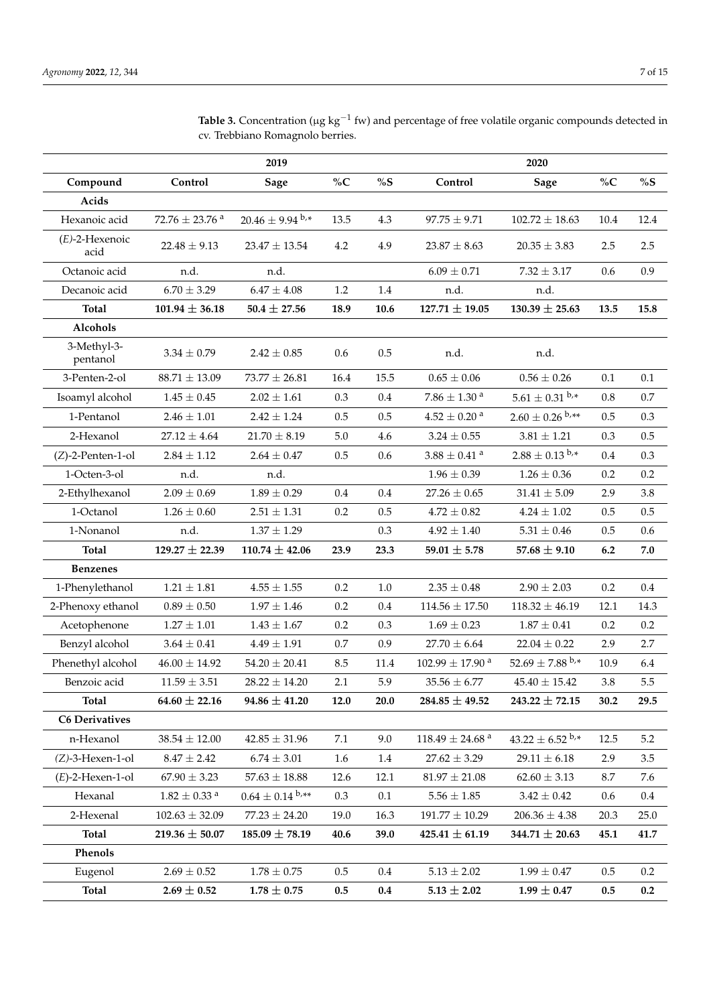|                           |                                | 2019                 |         |         |                                 | 2020                            |          |         |
|---------------------------|--------------------------------|----------------------|---------|---------|---------------------------------|---------------------------------|----------|---------|
| Compound                  | Control                        | Sage                 | $\%C$   | $\%S$   | Control                         | <b>Sage</b>                     | $\%C$    | $\%S$   |
| Acids                     |                                |                      |         |         |                                 |                                 |          |         |
| Hexanoic acid             | $72.76 \pm 23.76$ <sup>a</sup> | $20.46 \pm 9.94$ b.* | 13.5    | 4.3     | $97.75 \pm 9.71$                | $102.72 \pm 18.63$              | $10.4\,$ | 12.4    |
| $(E)$ -2-Hexenoic<br>acid | $22.48 \pm 9.13$               | $23.47 \pm 13.54$    | 4.2     | 4.9     | $23.87 \pm 8.63$                | $20.35 \pm 3.83$                | 2.5      | 2.5     |
| Octanoic acid             | n.d.                           | n.d.                 |         |         | $6.09 \pm 0.71$                 | $7.32 \pm 3.17$                 | 0.6      | 0.9     |
| Decanoic acid             | $6.70 \pm 3.29$                | $6.47\pm4.08$        | 1.2     | 1.4     | n.d.                            | n.d.                            |          |         |
| <b>Total</b>              | $101.94 \pm 36.18$             | $50.4 \pm 27.56$     | 18.9    | 10.6    | $127.71 \pm 19.05$              | $130.39 \pm 25.63$              | 13.5     | 15.8    |
| Alcohols                  |                                |                      |         |         |                                 |                                 |          |         |
| 3-Methyl-3-<br>pentanol   | $3.34 \pm 0.79$                | $2.42 \pm 0.85$      | 0.6     | 0.5     | n.d.                            | n.d.                            |          |         |
| 3-Penten-2-ol             | $88.71 \pm 13.09$              | $73.77 \pm 26.81$    | 16.4    | 15.5    | $0.65 \pm 0.06$                 | $0.56\pm0.26$                   | 0.1      | 0.1     |
| Isoamyl alcohol           | $1.45 \pm 0.45$                | $2.02 \pm 1.61$      | 0.3     | 0.4     | $7.86\pm1.30$ $^{\rm a}$        | $5.61 \pm 0.31$ b,*             | 0.8      | 0.7     |
| 1-Pentanol                | $2.46 \pm 1.01$                | $2.42 \pm 1.24$      | $0.5\,$ | 0.5     | $4.52\pm0.20$ <sup>a</sup>      | $2.60 \pm 0.26$ b,**            | 0.5      | 0.3     |
| 2-Hexanol                 | $27.12 \pm 4.64$               | $21.70 \pm 8.19$     | $5.0\,$ | 4.6     | $3.24 \pm 0.55$                 | $3.81\pm1.21$                   | 0.3      | 0.5     |
| $(Z)$ -2-Penten-1-ol      | $2.84 \pm 1.12$                | $2.64 \pm 0.47$      | 0.5     | 0.6     | $3.88\pm0.41$ $^{\rm a}$        | $2.88 \pm 0.13$ b,*             | 0.4      | 0.3     |
| 1-Octen-3-ol              | n.d.                           | n.d.                 |         |         | $1.96 \pm 0.39$                 | $1.26 \pm 0.36$                 | 0.2      | 0.2     |
| 2-Ethylhexanol            | $2.09 \pm 0.69$                | $1.89 \pm 0.29$      | 0.4     | 0.4     | $27.26 \pm 0.65$                | $31.41 \pm 5.09$                | 2.9      | 3.8     |
| 1-Octanol                 | $1.26 \pm 0.60$                | $2.51 \pm 1.31$      | 0.2     | 0.5     | $4.72 \pm 0.82$                 | $4.24 \pm 1.02$                 | 0.5      | 0.5     |
| 1-Nonanol                 | n.d.                           | $1.37 \pm 1.29$      |         | 0.3     | $4.92 \pm 1.40$                 | $5.31\pm0.46$                   | 0.5      | 0.6     |
| <b>Total</b>              | $129.27 \pm 22.39$             | $110.74 \pm 42.06$   | 23.9    | 23.3    | 59.01 $\pm$ 5.78                | $57.68 \pm 9.10$                | 6.2      | 7.0     |
| <b>Benzenes</b>           |                                |                      |         |         |                                 |                                 |          |         |
| 1-Phenylethanol           | $1.21\pm1.81$                  | $4.55\pm1.55$        | 0.2     | 1.0     | $2.35 \pm 0.48$                 | $2.90 \pm 2.03$                 | 0.2      | 0.4     |
| 2-Phenoxy ethanol         | $0.89 \pm 0.50$                | $1.97 \pm 1.46$      | 0.2     | 0.4     | $114.56 \pm 17.50$              | $118.32 \pm 46.19$              | 12.1     | 14.3    |
| Acetophenone              | $1.27\pm1.01$                  | $1.43 \pm 1.67$      | 0.2     | 0.3     | $1.69 \pm 0.23$                 | $1.87\pm0.41$                   | 0.2      | 0.2     |
| Benzyl alcohol            | $3.64 \pm 0.41$                | $4.49 \pm 1.91$      | 0.7     | 0.9     | $27.70 \pm 6.64$                | $22.04 \pm 0.22$                | 2.9      | 2.7     |
| Phenethyl alcohol         | $46.00 \pm 14.92$              | $54.20 \pm 20.41$    | 8.5     | 11.4    | $102.99 \pm 17.90$ <sup>a</sup> | $52.69 \pm 7.88$ b,*            | 10.9     | 6.4     |
| Benzoic acid              | $11.59 \pm 3.51$               | $28.22 \pm 14.20$    | $2.1\,$ | 5.9     | $35.56 \pm 6.77$                | $45.40 \pm 15.42$               | $3.8\,$  | 5.5     |
| Total                     | 64.60 $\pm$ 22.16              | $94.86 \pm 41.20$    | 12.0    | 20.0    | $284.85 \pm 49.52$              | $243.22 \pm 72.15$              | 30.2     | 29.5    |
| <b>C6 Derivatives</b>     |                                |                      |         |         |                                 |                                 |          |         |
| n-Hexanol                 | $38.54 \pm 12.00$              | $42.85 \pm 31.96$    | 7.1     | 9.0     | $118.49\pm24.68$ a              | $43.22 \pm 6.52$ <sup>b,*</sup> | 12.5     | 5.2     |
| $(Z)-3$ -Hexen-1-ol       | $8.47 \pm 2.42$                | $6.74 \pm 3.01$      | 1.6     | 1.4     | $27.62 \pm 3.29$                | $29.11 \pm 6.18$                | 2.9      | 3.5     |
| $(E)$ -2-Hexen-1-ol       | $67.90 \pm 3.23$               | $57.63 \pm 18.88$    | 12.6    | 12.1    | $81.97 \pm 21.08$               | $62.60 \pm 3.13$                | 8.7      | 7.6     |
| Hexanal                   | $1.82\pm0.33$ $^{\rm a}$       | $0.64 \pm 0.14$ b,** | 0.3     | 0.1     | $5.56\pm1.85$                   | $3.42\pm0.42$                   | 0.6      | $0.4\,$ |
| 2-Hexenal                 | $102.63 \pm 32.09$             | $77.23 \pm 24.20$    | 19.0    | 16.3    | $191.77\pm10.29$                | $206.36 \pm 4.38$               | 20.3     | 25.0    |
| Total                     | 219.36 $\pm$ 50.07             | $185.09 \pm 78.19$   | 40.6    | 39.0    | $425.41 \pm 61.19$              | 344.71 $\pm$ 20.63              | 45.1     | 41.7    |
| Phenols                   |                                |                      |         |         |                                 |                                 |          |         |
| Eugenol                   | $2.69 \pm 0.52$                | $1.78 \pm 0.75$      | 0.5     | 0.4     | $5.13 \pm 2.02$                 | $1.99 \pm 0.47$                 | 0.5      | 0.2     |
| <b>Total</b>              | $2.69 \pm 0.52$                | $1.78 \pm 0.75$      | 0.5     | $0.4\,$ | $5.13 \pm 2.02$                 | $1.99 \pm 0.47$                 | 0.5      | 0.2     |

Table 3. Concentration (μg kg<sup>-1</sup> fw) and percentage of free volatile organic compounds detected in cv. Trebbiano Romagnolo berries.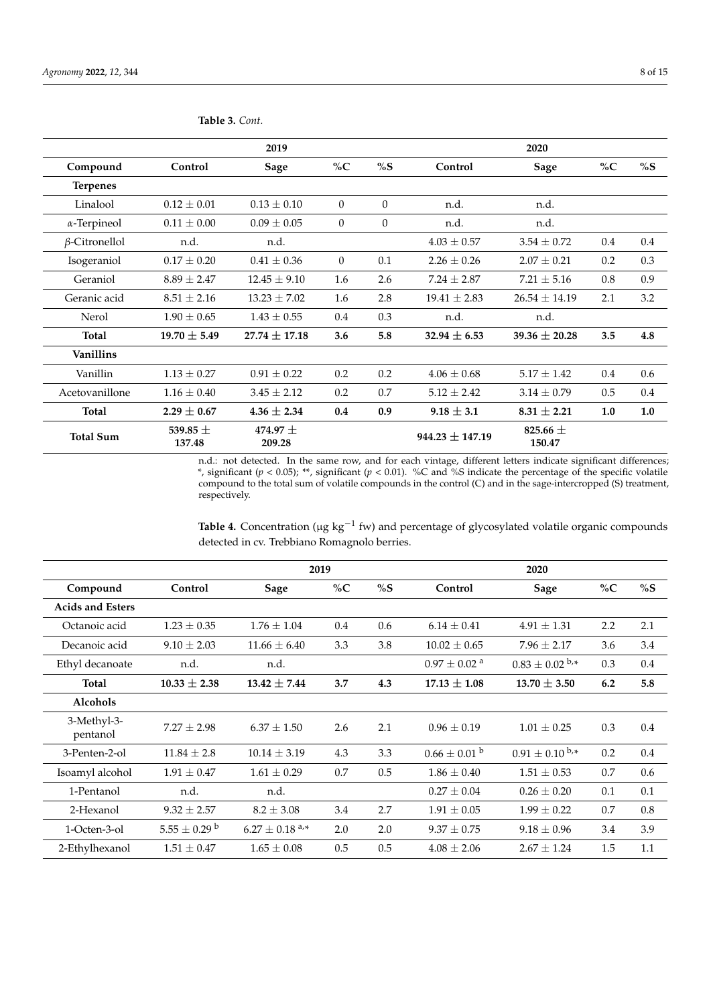|                      |                        | 2019                 |          |          |                     | 2020                   |         |     |
|----------------------|------------------------|----------------------|----------|----------|---------------------|------------------------|---------|-----|
| Compound             | Control                | Sage                 | $\%C$    | %S       | Control             | Sage                   | $\%C$   | %S  |
| <b>Terpenes</b>      |                        |                      |          |          |                     |                        |         |     |
| Linalool             | $0.12 \pm 0.01$        | $0.13 \pm 0.10$      | $\theta$ | $\Omega$ | n.d.                | n.d.                   |         |     |
| $\alpha$ -Terpineol  | $0.11 \pm 0.00$        | $0.09 \pm 0.05$      | $\theta$ | $\theta$ | n.d.                | n.d.                   |         |     |
| $\beta$ -Citronellol | n.d.                   | n.d.                 |          |          | $4.03 \pm 0.57$     | $3.54 \pm 0.72$        | $0.4\,$ | 0.4 |
| Isogeraniol          | $0.17 \pm 0.20$        | $0.41 \pm 0.36$      | $\Omega$ | 0.1      | $2.26 \pm 0.26$     | $2.07 \pm 0.21$        | 0.2     | 0.3 |
| Geraniol             | $8.89 \pm 2.47$        | $12.45 \pm 9.10$     | 1.6      | 2.6      | $7.24 \pm 2.87$     | $7.21 \pm 5.16$        | 0.8     | 0.9 |
| Geranic acid         | $8.51 \pm 2.16$        | $13.23 \pm 7.02$     | 1.6      | 2.8      | $19.41 \pm 2.83$    | $26.54 \pm 14.19$      | 2.1     | 3.2 |
| Nerol                | $1.90 \pm 0.65$        | $1.43 \pm 0.55$      | 0.4      | 0.3      | n.d.                | n.d.                   |         |     |
| <b>Total</b>         | $19.70 \pm 5.49$       | $27.74 \pm 17.18$    | 3.6      | 5.8      | 32.94 $\pm$ 6.53    | 39.36 $\pm$ 20.28      | 3.5     | 4.8 |
| <b>Vanillins</b>     |                        |                      |          |          |                     |                        |         |     |
| Vanillin             | $1.13 \pm 0.27$        | $0.91 \pm 0.22$      | 0.2      | 0.2      | $4.06 \pm 0.68$     | $5.17 \pm 1.42$        | $0.4\,$ | 0.6 |
| Acetovanillone       | $1.16 \pm 0.40$        | $3.45 \pm 2.12$      | 0.2      | 0.7      | $5.12 \pm 2.42$     | $3.14 \pm 0.79$        | 0.5     | 0.4 |
| <b>Total</b>         | $2.29 \pm 0.67$        | $4.36 \pm 2.34$      | 0.4      | 0.9      | $9.18 \pm 3.1$      | $8.31 \pm 2.21$        | 1.0     | 1.0 |
| <b>Total Sum</b>     | 539.85 $\pm$<br>137.48 | $474.97 +$<br>209.28 |          |          | $944.23 \pm 147.19$ | 825.66 $\pm$<br>150.47 |         |     |

<span id="page-7-0"></span>**Table 3.** *Cont.*

n.d.: not detected. In the same row, and for each vintage, different letters indicate significant differences; \*, significant (*p* < 0.05); \*\*, significant (*p* < 0.01). %C and %S indicate the percentage of the specific volatile compound to the total sum of volatile compounds in the control (C) and in the sage-intercropped (S) treatment, respectively.

Table 4. Concentration (µg kg<sup>-1</sup> fw) and percentage of glycosylated volatile organic compounds detected in cv. Trebbiano Romagnolo berries.

|                         |                              |                                         | 2019    |     |                              | 2020                  |       |     |
|-------------------------|------------------------------|-----------------------------------------|---------|-----|------------------------------|-----------------------|-------|-----|
| Compound                | Control                      | Sage                                    | % $C$   | %S  | Control                      | Sage                  | $\%C$ | %S  |
| <b>Acids and Esters</b> |                              |                                         |         |     |                              |                       |       |     |
| Octanoic acid           | $1.23 \pm 0.35$              | $1.76 \pm 1.04$                         | $0.4\,$ | 0.6 | $6.14 \pm 0.41$              | $4.91 \pm 1.31$       | 2.2   | 2.1 |
| Decanoic acid           | $9.10 \pm 2.03$              | $11.66 \pm 6.40$                        | 3.3     | 3.8 | $10.02 \pm 0.65$             | $7.96 \pm 2.17$       | 3.6   | 3.4 |
| Ethyl decanoate         | n.d.                         | n.d.                                    |         |     | $0.97 \pm 0.02$ <sup>a</sup> | $0.83 + 0.02^{b,*}$   | 0.3   | 0.4 |
| <b>Total</b>            | $10.33 \pm 2.38$             | $13.42 \pm 7.44$                        | 3.7     | 4.3 | $17.13 \pm 1.08$             | $13.70 \pm 3.50$      | 6.2   | 5.8 |
| <b>Alcohols</b>         |                              |                                         |         |     |                              |                       |       |     |
| 3-Methyl-3-<br>pentanol | $7.27 \pm 2.98$              | $6.37 \pm 1.50$                         | 2.6     | 2.1 | $0.96 \pm 0.19$              | $1.01 \pm 0.25$       | 0.3   | 0.4 |
| 3-Penten-2-ol           | $11.84 \pm 2.8$              | $10.14 \pm 3.19$                        | 4.3     | 3.3 | $0.66 \pm 0.01$ b            | $0.91 \pm 0.10^{b,*}$ | 0.2   | 0.4 |
| Isoamyl alcohol         | $1.91 \pm 0.47$              | $1.61 \pm 0.29$                         | 0.7     | 0.5 | $1.86 \pm 0.40$              | $1.51 \pm 0.53$       | 0.7   | 0.6 |
| 1-Pentanol              | n.d.                         | n.d.                                    |         |     | $0.27 \pm 0.04$              | $0.26 \pm 0.20$       | 0.1   | 0.1 |
| 2-Hexanol               | $9.32 \pm 2.57$              | $8.2 \pm 3.08$                          | 3.4     | 2.7 | $1.91 \pm 0.05$              | $1.99 \pm 0.22$       | 0.7   | 0.8 |
| 1-Octen-3-ol            | $5.55 \pm 0.29$ <sup>b</sup> | $6.27 + 0.18$ <sup>a<sub>+*</sub></sup> | 2.0     | 2.0 | $9.37 \pm 0.75$              | $9.18 \pm 0.96$       | 3.4   | 3.9 |
| 2-Ethylhexanol          | $1.51 \pm 0.47$              | $1.65 \pm 0.08$                         | 0.5     | 0.5 | $4.08 \pm 2.06$              | $2.67 \pm 1.24$       | 1.5   | 1.1 |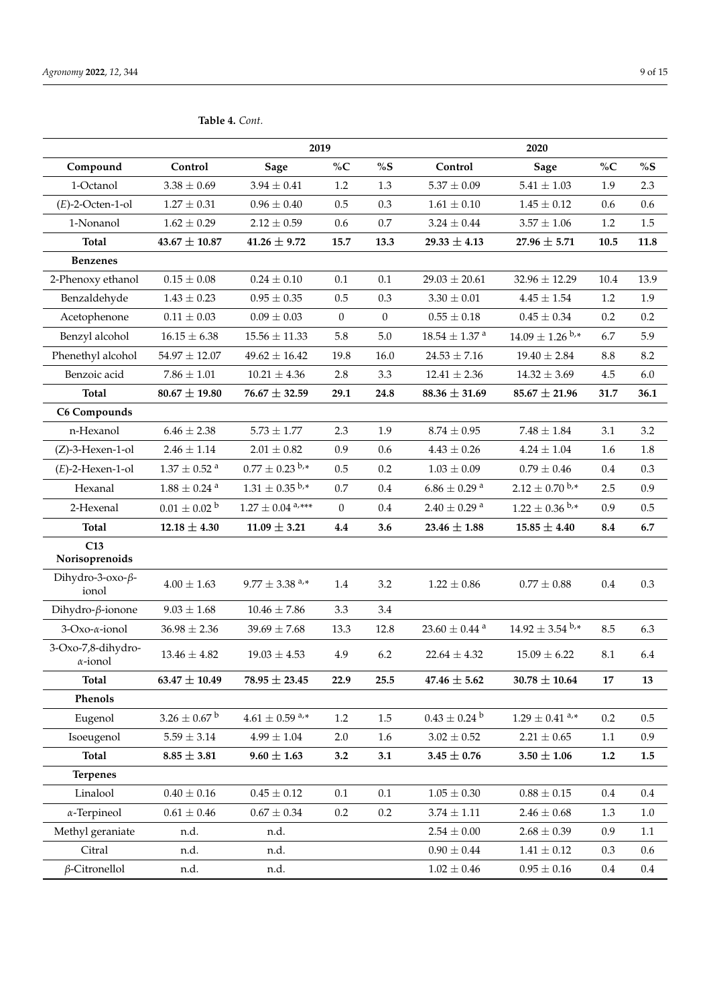|                                       |                              | 2019                           |              |              |                              | 2020                 |                 |         |
|---------------------------------------|------------------------------|--------------------------------|--------------|--------------|------------------------------|----------------------|-----------------|---------|
| Compound                              | Control                      | <b>Sage</b>                    | $\%C$        | %S           | Control                      | <b>Sage</b>          | $\%C$           | %S      |
| 1-Octanol                             | $3.38 \pm 0.69$              | $3.94 \pm 0.41$                | 1.2          | 1.3          | $5.37 \pm 0.09$              | $5.41\pm1.03$        | 1.9             | 2.3     |
| $(E)$ -2-Octen-1-ol                   | $1.27 \pm 0.31$              | $0.96 \pm 0.40$                | 0.5          | 0.3          | $1.61\pm0.10$                | $1.45 \pm 0.12$      | 0.6             | 0.6     |
| 1-Nonanol                             | $1.62 \pm 0.29$              | $2.12 \pm 0.59$                | 0.6          | 0.7          | $3.24 \pm 0.44$              | $3.57 \pm 1.06$      | $1.2\,$         | 1.5     |
| <b>Total</b>                          | $43.67 \pm 10.87$            | $41.26 \pm 9.72$               | 15.7         | 13.3         | $29.33 \pm 4.13$             | $27.96 \pm 5.71$     | 10.5            | 11.8    |
| <b>Benzenes</b>                       |                              |                                |              |              |                              |                      |                 |         |
| 2-Phenoxy ethanol                     | $0.15 \pm 0.08$              | $0.24 \pm 0.10$                | 0.1          | 0.1          | $29.03 \pm 20.61$            | $32.96 \pm 12.29$    | 10.4            | 13.9    |
| Benzaldehyde                          | $1.43 \pm 0.23$              | $0.95 \pm 0.35$                | $0.5\,$      | 0.3          | $3.30 \pm 0.01$              | $4.45 \pm 1.54$      | 1.2             | 1.9     |
| Acetophenone                          | $0.11 \pm 0.03$              | $0.09 \pm 0.03$                | $\mathbf{0}$ | $\mathbf{0}$ | $0.55 \pm 0.18$              | $0.45 \pm 0.34$      | 0.2             | 0.2     |
| Benzyl alcohol                        | $16.15 \pm 6.38$             | $15.56 \pm 11.33$              | 5.8          | 5.0          | $18.54\pm1.37$ $^{\rm a}$    | $14.09 \pm 1.26$ b,* | 6.7             | 5.9     |
| Phenethyl alcohol                     | $54.97 \pm 12.07$            | $49.62 \pm 16.42$              | 19.8         | 16.0         | $24.53 \pm 7.16$             | $19.40 \pm 2.84$     | $\!\!\!\!\!8.8$ | 8.2     |
| Benzoic acid                          | $7.86 \pm 1.01$              | $10.21 \pm 4.36$               | 2.8          | 3.3          | $12.41 \pm 2.36$             | $14.32 \pm 3.69$     | 4.5             | 6.0     |
| <b>Total</b>                          | $80.67 \pm 19.80$            | $76.67 \pm 32.59$              | 29.1         | 24.8         | $88.36 \pm 31.69$            | $85.67 \pm 21.96$    | 31.7            | 36.1    |
| C6 Compounds                          |                              |                                |              |              |                              |                      |                 |         |
| n-Hexanol                             | $6.46 \pm 2.38$              | $5.73 \pm 1.77$                | 2.3          | 1.9          | $8.74 \pm 0.95$              | $7.48 \pm 1.84$      | 3.1             | 3.2     |
| $(Z)$ -3-Hexen-1-ol                   | $2.46 \pm 1.14$              | $2.01\pm0.82$                  | 0.9          | 0.6          | $4.43 \pm 0.26$              | $4.24 \pm 1.04$      | 1.6             | 1.8     |
| $(E)$ -2-Hexen-1-ol                   | $1.37 \pm 0.52$ <sup>a</sup> | $0.77 \pm 0.23$ b,*            | 0.5          | 0.2          | $1.03 \pm 0.09$              | $0.79 \pm 0.46$      | 0.4             | 0.3     |
| Hexanal                               | $1.88\pm0.24$ $^{\rm a}$     | $1.31 \pm 0.35$ b,*            | 0.7          | 0.4          | $6.86\pm0.29$ $^{\rm a}$     | $2.12 \pm 0.70$ b,*  | 2.5             | 0.9     |
| 2-Hexenal                             | $0.01 \pm 0.02^{\text{ b}}$  | $1.27\pm0.04$ $^{a,***}$       | $\mathbf{0}$ | 0.4          | $2.40\pm0.29$ $^{\rm a}$     | $1.22 \pm 0.36$ b,*  | 0.9             | 0.5     |
| <b>Total</b>                          | $12.18 \pm 4.30$             | $11.09 \pm 3.21$               | 4.4          | 3.6          | $23.46 \pm 1.88$             | $15.85 \pm 4.40$     | 8.4             | 6.7     |
| C13<br>Norisoprenoids                 |                              |                                |              |              |                              |                      |                 |         |
| Dihydro-3-oxo-ß-<br>ionol             | $4.00 \pm 1.63$              | $9.77 \pm 3.38$ <sup>a,*</sup> | 1.4          | 3.2          | $1.22 \pm 0.86$              | $0.77 \pm 0.88$      | 0.4             | 0.3     |
| Dihydro- $\beta$ -ionone              | $9.03 \pm 1.68$              | $10.46 \pm 7.86$               | 3.3          | 3.4          |                              |                      |                 |         |
| 3-Oxo-α-ionol                         | $36.98 \pm 2.36$             | $39.69 \pm 7.68$               | 13.3         | 12.8         | $23.60\pm0.44$ $^{\rm a}$    | $14.92 \pm 3.54$ b,* | 8.5             | 6.3     |
| 3-Oxo-7,8-dihydro-<br>$\alpha$ -ionol | $13.46 \pm 4.82$             | $19.03 \pm 4.53$               | 4.9          | 6.2          | $22.64 \pm 4.32$             | $15.09 \pm 6.22$     | 8.1             | 6.4     |
| <b>Total</b>                          | $63.47 \pm 10.49$            | $78.95 \pm 23.45$              | 22.9         | 25.5         | $47.46 \pm 5.62$             | $30.78 \pm 10.64$    | $\bf 17$        | 13      |
| Phenols                               |                              |                                |              |              |                              |                      |                 |         |
| Eugenol                               | $3.26\pm0.67$ $^{\rm b}$     | $4.61 \pm 0.59$ <sup>a,*</sup> | 1.2          | 1.5          | $0.43 \pm 0.24$ <sup>b</sup> | $1.29 \pm 0.41$ a,*  | 0.2             | 0.5     |
| Isoeugenol                            | $5.59 \pm 3.14$              | $4.99\pm1.04$                  | 2.0          | 1.6          | $3.02 \pm 0.52$              | $2.21 \pm 0.65$      | $1.1\,$         | 0.9     |
| <b>Total</b>                          | $8.85 \pm 3.81$              | $9.60 \pm 1.63$                | 3.2          | 3.1          | $3.45 \pm 0.76$              | $3.50 \pm 1.06$      | 1.2             | $1.5\,$ |
| <b>Terpenes</b>                       |                              |                                |              |              |                              |                      |                 |         |
| Linalool                              | $0.40 \pm 0.16$              | $0.45\pm0.12$                  | 0.1          | 0.1          | $1.05 \pm 0.30$              | $0.88 \pm 0.15$      | $0.4\,$         | $0.4\,$ |
| $\alpha$ -Terpineol                   | $0.61\pm0.46$                | $0.67\pm0.34$                  | 0.2          | 0.2          | $3.74\pm1.11$                | $2.46\pm0.68$        | 1.3             | $1.0\,$ |
| Methyl geraniate                      | n.d.                         | n.d.                           |              |              | $2.54\pm0.00$                | $2.68\pm0.39$        | 0.9             | $1.1\,$ |
| Citral                                | n.d.                         | n.d.                           |              |              | $0.90 \pm 0.44$              | $1.41\pm0.12$        | 0.3             | 0.6     |
| $\beta$ -Citronellol                  | n.d.                         | n.d.                           |              |              | $1.02\pm0.46$                | $0.95\pm0.16$        | $0.4\,$         | 0.4     |

**Table 4.** *Cont.*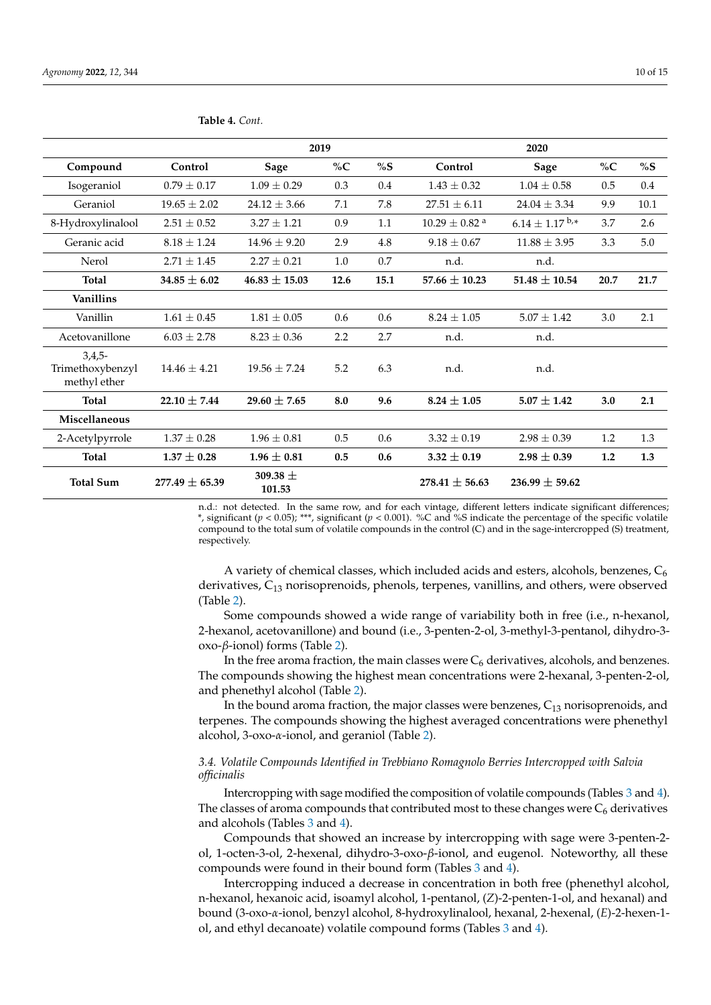|                                              |                  |                        | 2019  |      |                             | 2020                |       |      |
|----------------------------------------------|------------------|------------------------|-------|------|-----------------------------|---------------------|-------|------|
| Compound                                     | Control          | Sage                   | $\%C$ | %S   | Control                     | Sage                | $\%C$ | %S   |
| Isogeraniol                                  | $0.79 + 0.17$    | $1.09 + 0.29$          | 0.3   | 0.4  | $1.43 + 0.32$               | $1.04 + 0.58$       | 0.5   | 0.4  |
| Geraniol                                     | $19.65 \pm 2.02$ | $24.12 \pm 3.66$       | 7.1   | 7.8  | $27.51 \pm 6.11$            | $24.04 + 3.34$      | 9.9   | 10.1 |
| 8-Hydroxylinalool                            | $2.51 \pm 0.52$  | $3.27 \pm 1.21$        | 0.9   | 1.1  | $10.29 + 0.82$ <sup>a</sup> | $6.14 \pm 1.17$ b,* | 3.7   | 2.6  |
| Geranic acid                                 | $8.18 \pm 1.24$  | $14.96 \pm 9.20$       | 2.9   | 4.8  | $9.18 \pm 0.67$             | $11.88 \pm 3.95$    | 3.3   | 5.0  |
| Nerol                                        | $2.71 + 1.45$    | $2.27 + 0.21$          | 1.0   | 0.7  | n.d.                        | n.d.                |       |      |
| <b>Total</b>                                 | $34.85 \pm 6.02$ | $46.83 \pm 15.03$      | 12.6  | 15.1 | $57.66 + 10.23$             | $51.48 + 10.54$     | 20.7  | 21.7 |
| Vanillins                                    |                  |                        |       |      |                             |                     |       |      |
| Vanillin                                     | $1.61 + 0.45$    | $1.81 + 0.05$          | 0.6   | 0.6  | $8.24 \pm 1.05$             | $5.07 + 1.42$       | 3.0   | 2.1  |
| Acetovanillone                               | $6.03 \pm 2.78$  | $8.23 \pm 0.36$        | 2.2   | 2.7  | n.d.                        | n.d.                |       |      |
| $3,4,5-$<br>Trimethoxybenzyl<br>methyl ether | $14.46 + 4.21$   | $19.56 + 7.24$         | 5.2   | 6.3  | n.d.                        | n.d.                |       |      |
| <b>Total</b>                                 | 22.10 $\pm$ 7.44 | 29.60 $\pm$ 7.65       | 8.0   | 9.6  | $8.24 \pm 1.05$             | $5.07 \pm 1.42$     | 3.0   | 2.1  |
| Miscellaneous                                |                  |                        |       |      |                             |                     |       |      |
| 2-Acetylpyrrole                              | $1.37 \pm 0.28$  | $1.96 \pm 0.81$        | 0.5   | 0.6  | $3.32 + 0.19$               | $2.98 \pm 0.39$     | 1.2   | 1.3  |
| <b>Total</b>                                 | $1.37 \pm 0.28$  | $1.96 \pm 0.81$        | 0.5   | 0.6  | $3.32 \pm 0.19$             | $2.98 \pm 0.39$     | 1.2   | 1.3  |
| <b>Total Sum</b>                             | $277.49 + 65.39$ | 309.38 $\pm$<br>101.53 |       |      | $278.41 + 56.63$            | $236.99 + 59.62$    |       |      |

<span id="page-9-0"></span>**Table 4.** *Cont.*

n.d.: not detected. In the same row, and for each vintage, different letters indicate significant differences; \*, significant (*p* < 0.05); \*\*\*, significant (*p* < 0.001). %C and %S indicate the percentage of the specific volatile compound to the total sum of volatile compounds in the control (C) and in the sage-intercropped (S) treatment, respectively.

A variety of chemical classes, which included acids and esters, alcohols, benzenes,  $C_6$ derivatives, C<sup>13</sup> norisoprenoids, phenols, terpenes, vanillins, and others, were observed (Table [2\)](#page-5-0).

Some compounds showed a wide range of variability both in free (i.e., n-hexanol, 2-hexanol, acetovanillone) and bound (i.e., 3-penten-2-ol, 3-methyl-3-pentanol, dihydro-3 oxo-*β*-ionol) forms (Table [2\)](#page-5-0).

In the free aroma fraction, the main classes were  $C_6$  derivatives, alcohols, and benzenes. The compounds showing the highest mean concentrations were 2-hexanal, 3-penten-2-ol, and phenethyl alcohol (Table [2\)](#page-5-0).

In the bound aroma fraction, the major classes were benzenes,  $C_{13}$  norisoprenoids, and terpenes. The compounds showing the highest averaged concentrations were phenethyl alcohol, 3-oxo-*α*-ionol, and geraniol (Table [2\)](#page-5-0).

# *3.4. Volatile Compounds Identified in Trebbiano Romagnolo Berries Intercropped with Salvia officinalis*

Intercropping with sage modified the composition of volatile compounds (Tables [3](#page-7-0) and [4\)](#page-9-0). The classes of aroma compounds that contributed most to these changes were  $C_6$  derivatives and alcohols (Tables [3](#page-7-0) and [4\)](#page-9-0).

Compounds that showed an increase by intercropping with sage were 3-penten-2 ol, 1-octen-3-ol, 2-hexenal, dihydro-3-oxo-*β*-ionol, and eugenol. Noteworthy, all these compounds were found in their bound form (Tables [3](#page-7-0) and [4\)](#page-9-0).

Intercropping induced a decrease in concentration in both free (phenethyl alcohol, n-hexanol, hexanoic acid, isoamyl alcohol, 1-pentanol, (*Z*)-2-penten-1-ol, and hexanal) and bound (3-oxo-*α*-ionol, benzyl alcohol, 8-hydroxylinalool, hexanal, 2-hexenal, (*E*)-2-hexen-1 ol, and ethyl decanoate) volatile compound forms (Tables [3](#page-7-0) and [4\)](#page-9-0).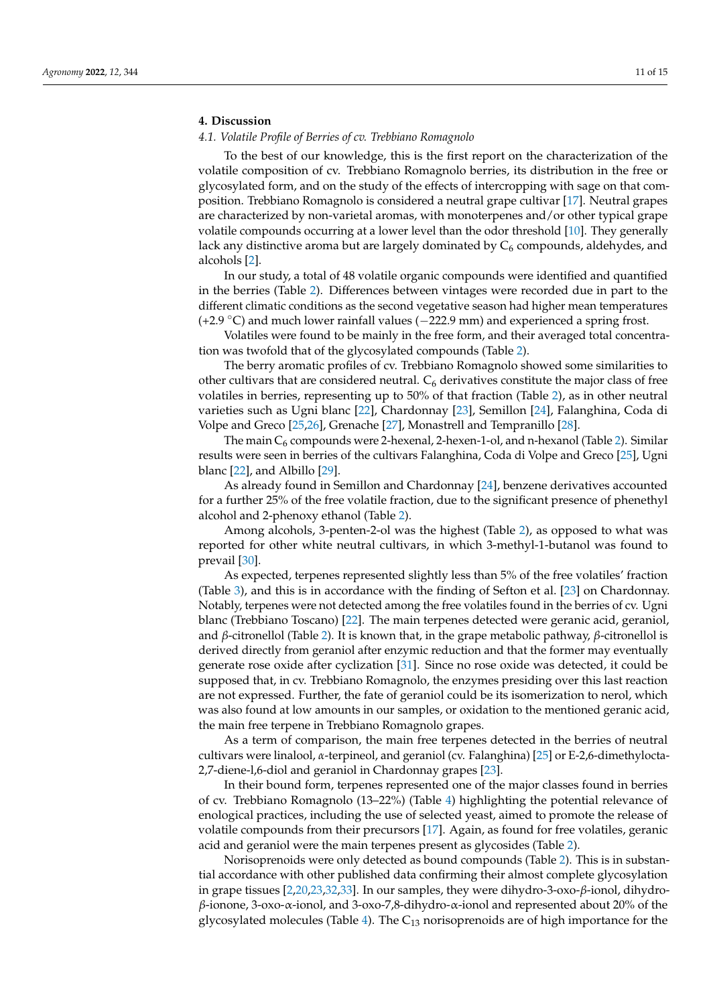# **4. Discussion**

# *4.1. Volatile Profile of Berries of cv. Trebbiano Romagnolo*

To the best of our knowledge, this is the first report on the characterization of the volatile composition of cv. Trebbiano Romagnolo berries, its distribution in the free or glycosylated form, and on the study of the effects of intercropping with sage on that composition. Trebbiano Romagnolo is considered a neutral grape cultivar [\[17\]](#page-13-6). Neutral grapes are characterized by non-varietal aromas, with monoterpenes and/or other typical grape volatile compounds occurring at a lower level than the odor threshold [\[10\]](#page-13-11). They generally lack any distinctive aroma but are largely dominated by  $C_6$  compounds, aldehydes, and alcohols [\[2\]](#page-12-1).

In our study, a total of 48 volatile organic compounds were identified and quantified in the berries (Table [2\)](#page-5-0). Differences between vintages were recorded due in part to the different climatic conditions as the second vegetative season had higher mean temperatures (+2.9 ◦C) and much lower rainfall values (−222.9 mm) and experienced a spring frost.

Volatiles were found to be mainly in the free form, and their averaged total concentration was twofold that of the glycosylated compounds (Table [2\)](#page-5-0).

The berry aromatic profiles of cv. Trebbiano Romagnolo showed some similarities to other cultivars that are considered neutral.  $C_6$  derivatives constitute the major class of free volatiles in berries, representing up to 50% of that fraction (Table [2\)](#page-5-0), as in other neutral varieties such as Ugni blanc [\[22\]](#page-13-12), Chardonnay [\[23\]](#page-13-13), Semillon [\[24\]](#page-13-14), Falanghina, Coda di Volpe and Greco [\[25](#page-13-15)[,26\]](#page-13-16), Grenache [\[27\]](#page-13-17), Monastrell and Tempranillo [\[28\]](#page-13-18).

The main  $C_6$  compounds were 2-hexenal, 2-hexen-1-ol, and n-hexanol (Table [2\)](#page-5-0). Similar results were seen in berries of the cultivars Falanghina, Coda di Volpe and Greco [\[25\]](#page-13-15), Ugni blanc [\[22\]](#page-13-12), and Albillo [\[29\]](#page-13-19).

As already found in Semillon and Chardonnay [\[24\]](#page-13-14), benzene derivatives accounted for a further 25% of the free volatile fraction, due to the significant presence of phenethyl alcohol and 2-phenoxy ethanol (Table [2\)](#page-5-0).

Among alcohols, 3-penten-2-ol was the highest (Table [2\)](#page-5-0), as opposed to what was reported for other white neutral cultivars, in which 3-methyl-1-butanol was found to prevail [\[30\]](#page-13-20).

As expected, terpenes represented slightly less than 5% of the free volatiles' fraction (Table [3\)](#page-7-0), and this is in accordance with the finding of Sefton et al. [\[23\]](#page-13-13) on Chardonnay. Notably, terpenes were not detected among the free volatiles found in the berries of cv. Ugni blanc (Trebbiano Toscano) [\[22\]](#page-13-12). The main terpenes detected were geranic acid, geraniol, and *β*-citronellol (Table [2\)](#page-5-0). It is known that, in the grape metabolic pathway, *β*-citronellol is derived directly from geraniol after enzymic reduction and that the former may eventually generate rose oxide after cyclization [\[31\]](#page-13-21). Since no rose oxide was detected, it could be supposed that, in cv. Trebbiano Romagnolo, the enzymes presiding over this last reaction are not expressed. Further, the fate of geraniol could be its isomerization to nerol, which was also found at low amounts in our samples, or oxidation to the mentioned geranic acid, the main free terpene in Trebbiano Romagnolo grapes.

As a term of comparison, the main free terpenes detected in the berries of neutral cultivars were linalool, *α*-terpineol, and geraniol (cv. Falanghina) [\[25\]](#page-13-15) or E-2,6-dimethylocta-2,7-diene-l,6-diol and geraniol in Chardonnay grapes [\[23\]](#page-13-13).

In their bound form, terpenes represented one of the major classes found in berries of cv. Trebbiano Romagnolo (13–22%) (Table [4\)](#page-9-0) highlighting the potential relevance of enological practices, including the use of selected yeast, aimed to promote the release of volatile compounds from their precursors [\[17\]](#page-13-6). Again, as found for free volatiles, geranic acid and geraniol were the main terpenes present as glycosides (Table [2\)](#page-5-0).

Norisoprenoids were only detected as bound compounds (Table [2\)](#page-5-0). This is in substantial accordance with other published data confirming their almost complete glycosylation in grape tissues [\[2](#page-12-1)[,20,](#page-13-9)[23,](#page-13-13)[32,](#page-13-22)[33\]](#page-13-23). In our samples, they were dihydro-3-oxo-*β*-ionol, dihydro*β*-ionone, 3-oxo-α-ionol, and 3-oxo-7,8-dihydro-α-ionol and represented about 20% of the glycosylated molecules (Table [4\)](#page-9-0). The  $C_{13}$  norisoprenoids are of high importance for the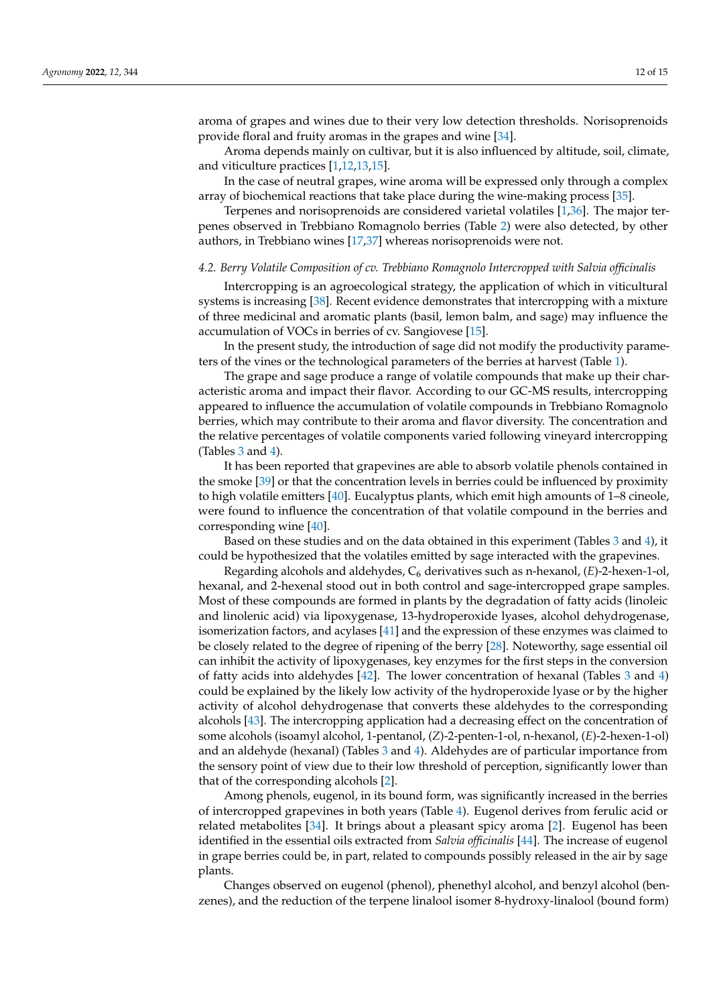aroma of grapes and wines due to their very low detection thresholds. Norisoprenoids provide floral and fruity aromas in the grapes and wine [\[34\]](#page-13-24).

Aroma depends mainly on cultivar, but it is also influenced by altitude, soil, climate, and viticulture practices [\[1,](#page-12-0)[12,](#page-13-1)[13,](#page-13-2)[15\]](#page-13-4).

In the case of neutral grapes, wine aroma will be expressed only through a complex array of biochemical reactions that take place during the wine-making process [\[35\]](#page-13-25).

Terpenes and norisoprenoids are considered varietal volatiles [\[1,](#page-12-0)[36\]](#page-13-26). The major terpenes observed in Trebbiano Romagnolo berries (Table [2\)](#page-5-0) were also detected, by other authors, in Trebbiano wines [\[17](#page-13-6)[,37\]](#page-14-0) whereas norisoprenoids were not.

#### *4.2. Berry Volatile Composition of cv. Trebbiano Romagnolo Intercropped with Salvia officinalis*

Intercropping is an agroecological strategy, the application of which in viticultural systems is increasing [\[38\]](#page-14-1). Recent evidence demonstrates that intercropping with a mixture of three medicinal and aromatic plants (basil, lemon balm, and sage) may influence the accumulation of VOCs in berries of cv. Sangiovese [\[15\]](#page-13-4).

In the present study, the introduction of sage did not modify the productivity parameters of the vines or the technological parameters of the berries at harvest (Table [1\)](#page-3-0).

The grape and sage produce a range of volatile compounds that make up their characteristic aroma and impact their flavor. According to our GC-MS results, intercropping appeared to influence the accumulation of volatile compounds in Trebbiano Romagnolo berries, which may contribute to their aroma and flavor diversity. The concentration and the relative percentages of volatile components varied following vineyard intercropping (Tables  $3$  and  $4$ ).

It has been reported that grapevines are able to absorb volatile phenols contained in the smoke [\[39\]](#page-14-2) or that the concentration levels in berries could be influenced by proximity to high volatile emitters [\[40\]](#page-14-3). Eucalyptus plants, which emit high amounts of 1–8 cineole, were found to influence the concentration of that volatile compound in the berries and corresponding wine [\[40\]](#page-14-3).

Based on these studies and on the data obtained in this experiment (Tables [3](#page-7-0) and [4\)](#page-9-0), it could be hypothesized that the volatiles emitted by sage interacted with the grapevines.

Regarding alcohols and aldehydes, C<sup>6</sup> derivatives such as n-hexanol, (*E*)-2-hexen-1-ol, hexanal, and 2-hexenal stood out in both control and sage-intercropped grape samples. Most of these compounds are formed in plants by the degradation of fatty acids (linoleic and linolenic acid) via lipoxygenase, 13-hydroperoxide lyases, alcohol dehydrogenase, isomerization factors, and acylases [\[41\]](#page-14-4) and the expression of these enzymes was claimed to be closely related to the degree of ripening of the berry [\[28\]](#page-13-18). Noteworthy, sage essential oil can inhibit the activity of lipoxygenases, key enzymes for the first steps in the conversion of fatty acids into aldehydes [\[42\]](#page-14-5). The lower concentration of hexanal (Tables [3](#page-7-0) and [4\)](#page-9-0) could be explained by the likely low activity of the hydroperoxide lyase or by the higher activity of alcohol dehydrogenase that converts these aldehydes to the corresponding alcohols [\[43\]](#page-14-6). The intercropping application had a decreasing effect on the concentration of some alcohols (isoamyl alcohol, 1-pentanol, (*Z*)-2-penten-1-ol, n-hexanol, (*E*)-2-hexen-1-ol) and an aldehyde (hexanal) (Tables [3](#page-7-0) and [4\)](#page-9-0). Aldehydes are of particular importance from the sensory point of view due to their low threshold of perception, significantly lower than that of the corresponding alcohols [\[2\]](#page-12-1).

Among phenols, eugenol, in its bound form, was significantly increased in the berries of intercropped grapevines in both years (Table [4\)](#page-9-0). Eugenol derives from ferulic acid or related metabolites [\[34\]](#page-13-24). It brings about a pleasant spicy aroma [\[2\]](#page-12-1). Eugenol has been identified in the essential oils extracted from *Salvia officinalis* [\[44\]](#page-14-7). The increase of eugenol in grape berries could be, in part, related to compounds possibly released in the air by sage plants.

Changes observed on eugenol (phenol), phenethyl alcohol, and benzyl alcohol (benzenes), and the reduction of the terpene linalool isomer 8-hydroxy-linalool (bound form)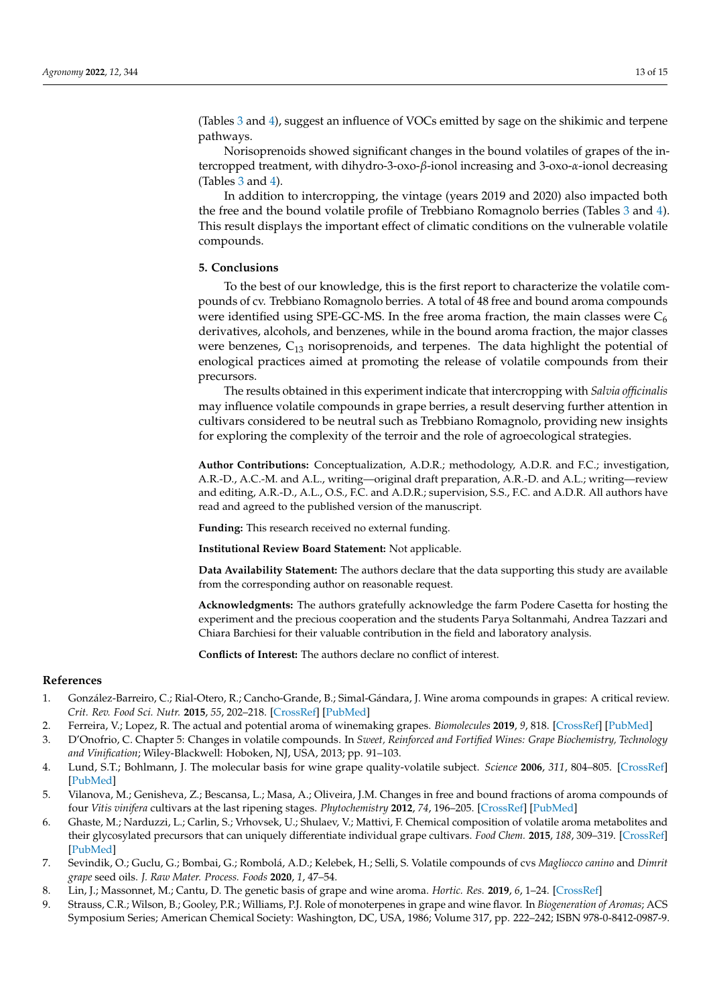(Tables [3](#page-7-0) and [4\)](#page-9-0), suggest an influence of VOCs emitted by sage on the shikimic and terpene pathways.

Norisoprenoids showed significant changes in the bound volatiles of grapes of the intercropped treatment, with dihydro-3-oxo-*β*-ionol increasing and 3-oxo-*α*-ionol decreasing (Tables  $3$  and  $4$ ).

In addition to intercropping, the vintage (years 2019 and 2020) also impacted both the free and the bound volatile profile of Trebbiano Romagnolo berries (Tables [3](#page-7-0) and [4\)](#page-9-0). This result displays the important effect of climatic conditions on the vulnerable volatile compounds.

# **5. Conclusions**

To the best of our knowledge, this is the first report to characterize the volatile compounds of cv. Trebbiano Romagnolo berries. A total of 48 free and bound aroma compounds were identified using SPE-GC-MS. In the free aroma fraction, the main classes were  $C_6$ derivatives, alcohols, and benzenes, while in the bound aroma fraction, the major classes were benzenes,  $C_{13}$  norisoprenoids, and terpenes. The data highlight the potential of enological practices aimed at promoting the release of volatile compounds from their precursors.

The results obtained in this experiment indicate that intercropping with *Salvia officinalis* may influence volatile compounds in grape berries, a result deserving further attention in cultivars considered to be neutral such as Trebbiano Romagnolo, providing new insights for exploring the complexity of the terroir and the role of agroecological strategies.

**Author Contributions:** Conceptualization, A.D.R.; methodology, A.D.R. and F.C.; investigation, A.R.-D., A.C.-M. and A.L., writing—original draft preparation, A.R.-D. and A.L.; writing—review and editing, A.R.-D., A.L., O.S., F.C. and A.D.R.; supervision, S.S., F.C. and A.D.R. All authors have read and agreed to the published version of the manuscript.

**Funding:** This research received no external funding.

**Institutional Review Board Statement:** Not applicable.

**Data Availability Statement:** The authors declare that the data supporting this study are available from the corresponding author on reasonable request.

**Acknowledgments:** The authors gratefully acknowledge the farm Podere Casetta for hosting the experiment and the precious cooperation and the students Parya Soltanmahi, Andrea Tazzari and Chiara Barchiesi for their valuable contribution in the field and laboratory analysis.

**Conflicts of Interest:** The authors declare no conflict of interest.

#### **References**

- <span id="page-12-0"></span>1. González-Barreiro, C.; Rial-Otero, R.; Cancho-Grande, B.; Simal-Gándara, J. Wine aroma compounds in grapes: A critical review. *Crit. Rev. Food Sci. Nutr.* **2015**, *55*, 202–218. [\[CrossRef\]](http://doi.org/10.1080/10408398.2011.650336) [\[PubMed\]](http://www.ncbi.nlm.nih.gov/pubmed/24915400)
- <span id="page-12-1"></span>2. Ferreira, V.; Lopez, R. The actual and potential aroma of winemaking grapes. *Biomolecules* **2019**, *9*, 818. [\[CrossRef\]](http://doi.org/10.3390/biom9120818) [\[PubMed\]](http://www.ncbi.nlm.nih.gov/pubmed/31816941)
- <span id="page-12-2"></span>3. D'Onofrio, C. Chapter 5: Changes in volatile compounds. In *Sweet, Reinforced and Fortified Wines: Grape Biochemistry, Technology and Vinification*; Wiley-Blackwell: Hoboken, NJ, USA, 2013; pp. 91–103.
- <span id="page-12-3"></span>4. Lund, S.T.; Bohlmann, J. The molecular basis for wine grape quality-volatile subject. *Science* **2006**, *311*, 804–805. [\[CrossRef\]](http://doi.org/10.1126/science.1118962) [\[PubMed\]](http://www.ncbi.nlm.nih.gov/pubmed/16469915)
- <span id="page-12-4"></span>5. Vilanova, M.; Genisheva, Z.; Bescansa, L.; Masa, A.; Oliveira, J.M. Changes in free and bound fractions of aroma compounds of four *Vitis vinifera* cultivars at the last ripening stages. *Phytochemistry* **2012**, *74*, 196–205. [\[CrossRef\]](http://doi.org/10.1016/j.phytochem.2011.10.004) [\[PubMed\]](http://www.ncbi.nlm.nih.gov/pubmed/22071134)
- <span id="page-12-5"></span>6. Ghaste, M.; Narduzzi, L.; Carlin, S.; Vrhovsek, U.; Shulaev, V.; Mattivi, F. Chemical composition of volatile aroma metabolites and their glycosylated precursors that can uniquely differentiate individual grape cultivars. *Food Chem.* **2015**, *188*, 309–319. [\[CrossRef\]](http://doi.org/10.1016/j.foodchem.2015.04.056) [\[PubMed\]](http://www.ncbi.nlm.nih.gov/pubmed/26041197)
- <span id="page-12-6"></span>7. Sevindik, O.; Guclu, G.; Bombai, G.; Rombolá, A.D.; Kelebek, H.; Selli, S. Volatile compounds of cvs *Magliocco canino* and *Dimrit grape* seed oils. *J. Raw Mater. Process. Foods* **2020**, *1*, 47–54.
- <span id="page-12-7"></span>8. Lin, J.; Massonnet, M.; Cantu, D. The genetic basis of grape and wine aroma. *Hortic. Res.* **2019**, *6*, 1–24. [\[CrossRef\]](http://doi.org/10.1038/s41438-019-0163-1)
- <span id="page-12-8"></span>9. Strauss, C.R.; Wilson, B.; Gooley, P.R.; Williams, P.J. Role of monoterpenes in grape and wine flavor. In *Biogeneration of Aromas*; ACS Symposium Series; American Chemical Society: Washington, DC, USA, 1986; Volume 317, pp. 222–242; ISBN 978-0-8412-0987-9.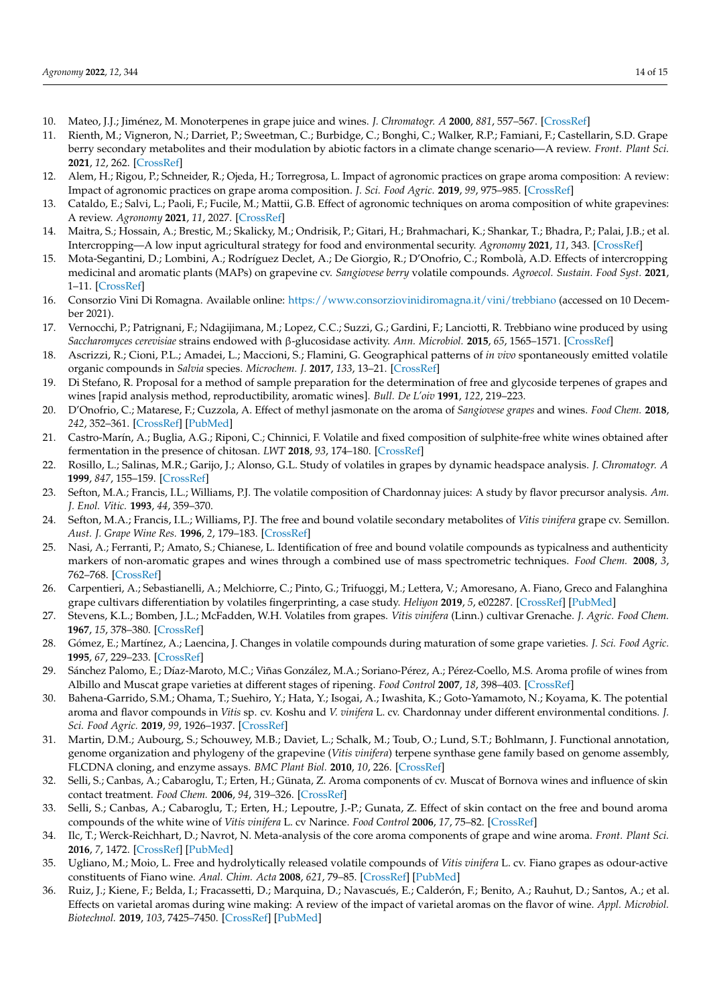- <span id="page-13-11"></span>10. Mateo, J.J.; Jiménez, M. Monoterpenes in grape juice and wines. *J. Chromatogr. A* **2000**, *881*, 557–567. [\[CrossRef\]](http://doi.org/10.1016/S0021-9673(99)01342-4)
- <span id="page-13-0"></span>11. Rienth, M.; Vigneron, N.; Darriet, P.; Sweetman, C.; Burbidge, C.; Bonghi, C.; Walker, R.P.; Famiani, F.; Castellarin, S.D. Grape berry secondary metabolites and their modulation by abiotic factors in a climate change scenario—A review. *Front. Plant Sci.* **2021**, *12*, 262. [\[CrossRef\]](http://doi.org/10.3389/fpls.2021.643258)
- <span id="page-13-1"></span>12. Alem, H.; Rigou, P.; Schneider, R.; Ojeda, H.; Torregrosa, L. Impact of agronomic practices on grape aroma composition: A review: Impact of agronomic practices on grape aroma composition. *J. Sci. Food Agric.* **2019**, *99*, 975–985. [\[CrossRef\]](http://doi.org/10.1002/jsfa.9327)
- <span id="page-13-2"></span>13. Cataldo, E.; Salvi, L.; Paoli, F.; Fucile, M.; Mattii, G.B. Effect of agronomic techniques on aroma composition of white grapevines: A review. *Agronomy* **2021**, *11*, 2027. [\[CrossRef\]](http://doi.org/10.3390/agronomy11102027)
- <span id="page-13-3"></span>14. Maitra, S.; Hossain, A.; Brestic, M.; Skalicky, M.; Ondrisik, P.; Gitari, H.; Brahmachari, K.; Shankar, T.; Bhadra, P.; Palai, J.B.; et al. Intercropping—A low input agricultural strategy for food and environmental security. *Agronomy* **2021**, *11*, 343. [\[CrossRef\]](http://doi.org/10.3390/agronomy11020343)
- <span id="page-13-4"></span>15. Mota-Segantini, D.; Lombini, A.; Rodríguez Declet, A.; De Giorgio, R.; D'Onofrio, C.; Rombolà, A.D. Effects of intercropping medicinal and aromatic plants (MAPs) on grapevine cv. *Sangiovese berry* volatile compounds. *Agroecol. Sustain. Food Syst.* **2021**, 1–11. [\[CrossRef\]](http://doi.org/10.1080/21683565.2022.2027841)
- <span id="page-13-5"></span>16. Consorzio Vini Di Romagna. Available online: <https://www.consorziovinidiromagna.it/vini/trebbiano> (accessed on 10 December 2021).
- <span id="page-13-6"></span>17. Vernocchi, P.; Patrignani, F.; Ndagijimana, M.; Lopez, C.C.; Suzzi, G.; Gardini, F.; Lanciotti, R. Trebbiano wine produced by using *Saccharomyces cerevisiae* strains endowed with β-glucosidase activity. *Ann. Microbiol.* **2015**, *65*, 1565–1571. [\[CrossRef\]](http://doi.org/10.1007/s13213-014-0995-8)
- <span id="page-13-7"></span>18. Ascrizzi, R.; Cioni, P.L.; Amadei, L.; Maccioni, S.; Flamini, G. Geographical patterns of *in vivo* spontaneously emitted volatile organic compounds in *Salvia* species. *Microchem. J.* **2017**, *133*, 13–21. [\[CrossRef\]](http://doi.org/10.1016/j.microc.2017.03.002)
- <span id="page-13-8"></span>19. Di Stefano, R. Proposal for a method of sample preparation for the determination of free and glycoside terpenes of grapes and wines [rapid analysis method, reproductibility, aromatic wines]. *Bull. De L'oiv* **1991**, *122*, 219–223.
- <span id="page-13-9"></span>20. D'Onofrio, C.; Matarese, F.; Cuzzola, A. Effect of methyl jasmonate on the aroma of *Sangiovese grapes* and wines. *Food Chem.* **2018**, *242*, 352–361. [\[CrossRef\]](http://doi.org/10.1016/j.foodchem.2017.09.084) [\[PubMed\]](http://www.ncbi.nlm.nih.gov/pubmed/29037700)
- <span id="page-13-10"></span>21. Castro-Marín, A.; Buglia, A.G.; Riponi, C.; Chinnici, F. Volatile and fixed composition of sulphite-free white wines obtained after fermentation in the presence of chitosan. *LWT* **2018**, *93*, 174–180. [\[CrossRef\]](http://doi.org/10.1016/j.lwt.2018.03.003)
- <span id="page-13-12"></span>22. Rosillo, L.; Salinas, M.R.; Garijo, J.; Alonso, G.L. Study of volatiles in grapes by dynamic headspace analysis. *J. Chromatogr. A* **1999**, *847*, 155–159. [\[CrossRef\]](http://doi.org/10.1016/S0021-9673(99)00036-9)
- <span id="page-13-13"></span>23. Sefton, M.A.; Francis, I.L.; Williams, P.J. The volatile composition of Chardonnay juices: A study by flavor precursor analysis. *Am. J. Enol. Vitic.* **1993**, *44*, 359–370.
- <span id="page-13-14"></span>24. Sefton, M.A.; Francis, I.L.; Williams, P.J. The free and bound volatile secondary metabolites of *Vitis vinifera* grape cv. Semillon. *Aust. J. Grape Wine Res.* **1996**, *2*, 179–183. [\[CrossRef\]](http://doi.org/10.1111/j.1755-0238.1996.tb00106.x)
- <span id="page-13-15"></span>25. Nasi, A.; Ferranti, P.; Amato, S.; Chianese, L. Identification of free and bound volatile compounds as typicalness and authenticity markers of non-aromatic grapes and wines through a combined use of mass spectrometric techniques. *Food Chem.* **2008**, *3*, 762–768. [\[CrossRef\]](http://doi.org/10.1016/j.foodchem.2008.03.001)
- <span id="page-13-16"></span>26. Carpentieri, A.; Sebastianelli, A.; Melchiorre, C.; Pinto, G.; Trifuoggi, M.; Lettera, V.; Amoresano, A. Fiano, Greco and Falanghina grape cultivars differentiation by volatiles fingerprinting, a case study. *Heliyon* **2019**, *5*, e02287. [\[CrossRef\]](http://doi.org/10.1016/j.heliyon.2019.e02287) [\[PubMed\]](http://www.ncbi.nlm.nih.gov/pubmed/31485514)
- <span id="page-13-17"></span>27. Stevens, K.L.; Bomben, J.L.; McFadden, W.H. Volatiles from grapes. *Vitis vinifera* (Linn.) cultivar Grenache. *J. Agric. Food Chem.* **1967**, *15*, 378–380. [\[CrossRef\]](http://doi.org/10.1021/jf60151a029)
- <span id="page-13-18"></span>28. Gómez, E.; Martínez, A.; Laencina, J. Changes in volatile compounds during maturation of some grape varieties. *J. Sci. Food Agric.* **1995**, *67*, 229–233. [\[CrossRef\]](http://doi.org/10.1002/jsfa.2740670213)
- <span id="page-13-19"></span>29. Sánchez Palomo, E.; Díaz-Maroto, M.C.; Viñas González, M.A.; Soriano-Pérez, A.; Pérez-Coello, M.S. Aroma profile of wines from Albillo and Muscat grape varieties at different stages of ripening. *Food Control* **2007**, *18*, 398–403. [\[CrossRef\]](http://doi.org/10.1016/j.foodcont.2005.11.006)
- <span id="page-13-20"></span>30. Bahena-Garrido, S.M.; Ohama, T.; Suehiro, Y.; Hata, Y.; Isogai, A.; Iwashita, K.; Goto-Yamamoto, N.; Koyama, K. The potential aroma and flavor compounds in *Vitis* sp. cv. Koshu and *V. vinifera* L. cv. Chardonnay under different environmental conditions. *J. Sci. Food Agric.* **2019**, *99*, 1926–1937. [\[CrossRef\]](http://doi.org/10.1002/jsfa.9389)
- <span id="page-13-21"></span>31. Martin, D.M.; Aubourg, S.; Schouwey, M.B.; Daviet, L.; Schalk, M.; Toub, O.; Lund, S.T.; Bohlmann, J. Functional annotation, genome organization and phylogeny of the grapevine (*Vitis vinifera*) terpene synthase gene family based on genome assembly, FLCDNA cloning, and enzyme assays. *BMC Plant Biol.* **2010**, *10*, 226. [\[CrossRef\]](http://doi.org/10.1186/1471-2229-10-226)
- <span id="page-13-22"></span>32. Selli, S.; Canbas, A.; Cabaroglu, T.; Erten, H.; Günata, Z. Aroma components of cv. Muscat of Bornova wines and influence of skin contact treatment. *Food Chem.* **2006**, *94*, 319–326. [\[CrossRef\]](http://doi.org/10.1016/j.foodchem.2004.11.019)
- <span id="page-13-23"></span>33. Selli, S.; Canbas, A.; Cabaroglu, T.; Erten, H.; Lepoutre, J.-P.; Gunata, Z. Effect of skin contact on the free and bound aroma compounds of the white wine of *Vitis vinifera* L. cv Narince. *Food Control* **2006**, *17*, 75–82. [\[CrossRef\]](http://doi.org/10.1016/j.foodcont.2004.09.005)
- <span id="page-13-24"></span>34. Ilc, T.; Werck-Reichhart, D.; Navrot, N. Meta-analysis of the core aroma components of grape and wine aroma. *Front. Plant Sci.* **2016**, *7*, 1472. [\[CrossRef\]](http://doi.org/10.3389/fpls.2016.01472) [\[PubMed\]](http://www.ncbi.nlm.nih.gov/pubmed/27746799)
- <span id="page-13-25"></span>35. Ugliano, M.; Moio, L. Free and hydrolytically released volatile compounds of *Vitis vinifera* L. cv. Fiano grapes as odour-active constituents of Fiano wine. *Anal. Chim. Acta* **2008**, *621*, 79–85. [\[CrossRef\]](http://doi.org/10.1016/j.aca.2008.03.002) [\[PubMed\]](http://www.ncbi.nlm.nih.gov/pubmed/18573373)
- <span id="page-13-26"></span>36. Ruiz, J.; Kiene, F.; Belda, I.; Fracassetti, D.; Marquina, D.; Navascués, E.; Calderón, F.; Benito, A.; Rauhut, D.; Santos, A.; et al. Effects on varietal aromas during wine making: A review of the impact of varietal aromas on the flavor of wine. *Appl. Microbiol. Biotechnol.* **2019**, *103*, 7425–7450. [\[CrossRef\]](http://doi.org/10.1007/s00253-019-10008-9) [\[PubMed\]](http://www.ncbi.nlm.nih.gov/pubmed/31377872)